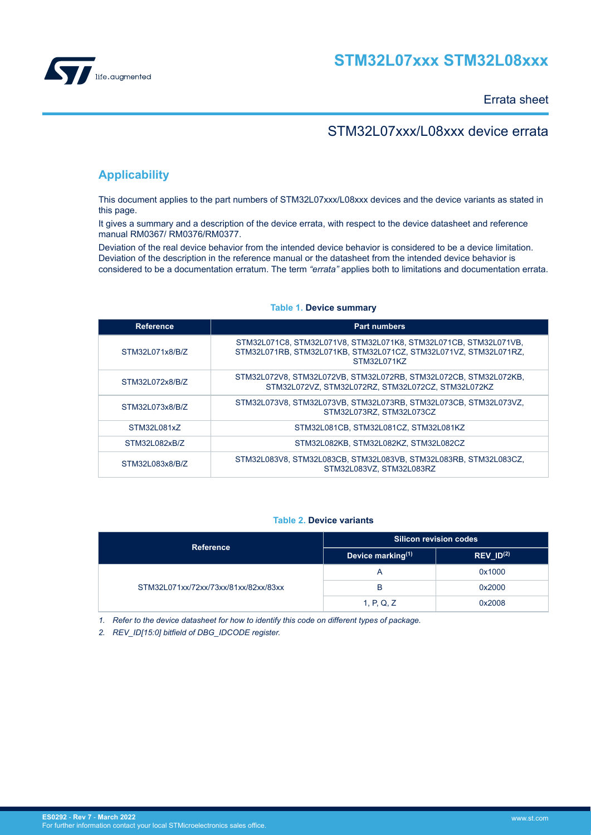<span id="page-0-0"></span>

Errata sheet

## STM32L07xxx/L08xxx device errata

## **Applicability**

This document applies to the part numbers of STM32L07xxx/L08xxx devices and the device variants as stated in this page.

It gives a summary and a description of the device errata, with respect to the device datasheet and reference manual RM0367/ RM0376/RM0377.

Deviation of the real device behavior from the intended device behavior is considered to be a device limitation. Deviation of the description in the reference manual or the datasheet from the intended device behavior is considered to be a documentation erratum. The term *"errata"* applies both to limitations and documentation errata.

| <b>Reference</b> | <b>Part numbers</b>                                                                                                                                 |
|------------------|-----------------------------------------------------------------------------------------------------------------------------------------------------|
| STM32L071x8/B/Z  | STM32L071C8, STM32L071V8, STM32L071K8, STM32L071CB, STM32L071VB,<br>STM32L071RB, STM32L071KB, STM32L071CZ, STM32L071VZ, STM32L071RZ,<br>STM32L071KZ |
| STM32L072x8/B/Z  | STM32L072V8, STM32L072VB, STM32L072RB, STM32L072CB, STM32L072KB,<br>STM32L072VZ. STM32L072RZ. STM32L072CZ. STM32L072KZ                              |
| STM32L073x8/B/Z  | STM32L073V8, STM32L073VB, STM32L073RB, STM32L073CB, STM32L073VZ,<br>STM32L073RZ. STM32L073CZ                                                        |
| STM32L081x7      | STM32L081CB, STM32L081CZ, STM32L081KZ                                                                                                               |
| STM32L082xB/Z    | STM32L082KB, STM32L082KZ, STM32L082CZ                                                                                                               |
| STM32L083x8/B/Z  | STM32L083V8, STM32L083CB, STM32L083VB, STM32L083RB, STM32L083CZ,<br>STM32L083VZ, STM32L083RZ                                                        |

## **Table 1. Device summary**

## **Table 2. Device variants**

| <b>Reference</b>                     | Silicon revision codes        |                                    |  |
|--------------------------------------|-------------------------------|------------------------------------|--|
|                                      | Device marking <sup>(1)</sup> | $REV$ <sub>_ID<sup>(2)</sup></sub> |  |
|                                      | A                             | 0x1000                             |  |
| STM32L071xx/72xx/73xx/81xx/82xx/83xx | В                             | 0x2000                             |  |
|                                      | 1, P, Q, Z                    | 0x2008                             |  |

*1. Refer to the device datasheet for how to identify this code on different types of package.*

*2. REV\_ID[15:0] bitfield of DBG\_IDCODE register.*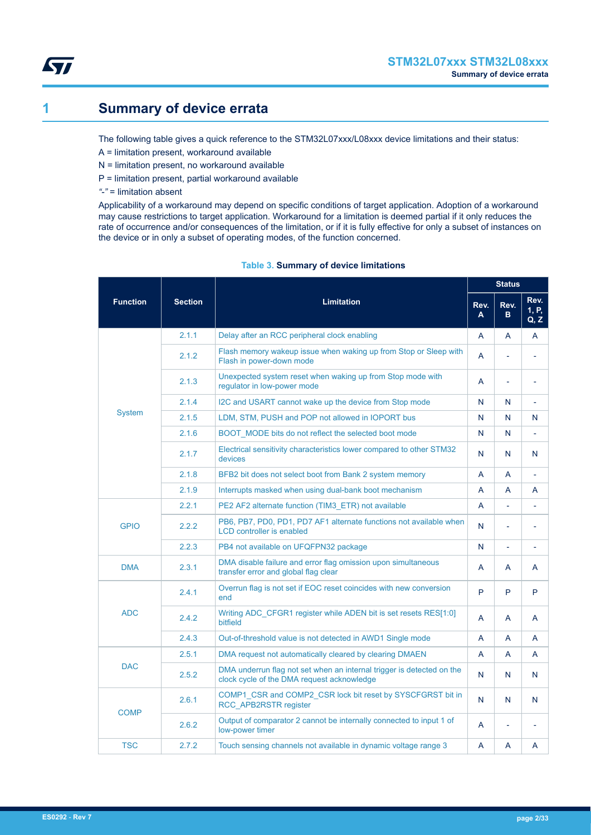<span id="page-1-0"></span>

# **1 Summary of device errata**

The following table gives a quick reference to the STM32L07xxx/L08xxx device limitations and their status:

- A = limitation present, workaround available
- N = limitation present, no workaround available
- P = limitation present, partial workaround available
- *"-"* = limitation absent

Applicability of a workaround may depend on specific conditions of target application. Adoption of a workaround may cause restrictions to target application. Workaround for a limitation is deemed partial if it only reduces the rate of occurrence and/or consequences of the limitation, or if it is fully effective for only a subset of instances on the device or in only a subset of operating modes, of the function concerned.

|                 |                |                                                                                                                     |           | <b>Status</b> |                       |
|-----------------|----------------|---------------------------------------------------------------------------------------------------------------------|-----------|---------------|-----------------------|
| <b>Function</b> | <b>Section</b> | <b>Limitation</b>                                                                                                   | Rev.<br>A | Rev.<br>B.    | Rev.<br>1, P,<br>Q, Z |
|                 | 2.1.1          | Delay after an RCC peripheral clock enabling                                                                        | A         | A             | A                     |
|                 | 2.1.2          | Flash memory wakeup issue when waking up from Stop or Sleep with<br>Flash in power-down mode                        | A         |               | L.                    |
|                 | 2.1.3          | Unexpected system reset when waking up from Stop mode with<br>requlator in low-power mode                           | A         |               | ٠                     |
|                 | 2.1.4          | I2C and USART cannot wake up the device from Stop mode                                                              | N         | N             | $\bar{\phantom{a}}$   |
| System          | 2.1.5          | LDM, STM, PUSH and POP not allowed in IOPORT bus                                                                    | N         | N             | N                     |
|                 | 2.1.6          | BOOT MODE bits do not reflect the selected boot mode                                                                | N         | N             | ÷,                    |
|                 | 2.1.7          | Electrical sensitivity characteristics lower compared to other STM32<br>devices                                     | N         | N             | N                     |
|                 | 2.1.8          | BFB2 bit does not select boot from Bank 2 system memory                                                             | A         | A             | L.                    |
|                 | 2.1.9          | Interrupts masked when using dual-bank boot mechanism                                                               | A         | A             | A                     |
|                 | 2.2.1          | PE2 AF2 alternate function (TIM3 ETR) not available                                                                 | A         | ÷.            | L,                    |
| <b>GPIO</b>     | 2.2.2          | PB6, PB7, PD0, PD1, PD7 AF1 alternate functions not available when<br><b>LCD</b> controller is enabled              | N         |               | ÷,                    |
|                 | 2.2.3          | PB4 not available on UFQFPN32 package                                                                               | N         |               | ÷,                    |
| <b>DMA</b>      | 2.3.1          | DMA disable failure and error flag omission upon simultaneous<br>transfer error and global flag clear               | A         | A             | A                     |
|                 | 2.4.1          | Overrun flag is not set if EOC reset coincides with new conversion<br>end                                           | P         | P             | P                     |
| <b>ADC</b>      | 2.4.2          | Writing ADC CFGR1 register while ADEN bit is set resets RES[1:0]<br>bitfield                                        | A         | A             | A                     |
|                 | 2.4.3          | Out-of-threshold value is not detected in AWD1 Single mode                                                          | A         | A             | A                     |
|                 | 2.5.1          | DMA request not automatically cleared by clearing DMAEN                                                             | A         | A             | A                     |
| <b>DAC</b>      | 2.5.2          | DMA underrun flag not set when an internal trigger is detected on the<br>clock cycle of the DMA request acknowledge | N         | N             | N                     |
| <b>COMP</b>     | 2.6.1          | COMP1_CSR and COMP2_CSR lock bit reset by SYSCFGRST bit in<br><b>RCC APB2RSTR register</b>                          | N         | N             | N                     |
|                 | 2.6.2          | Output of comparator 2 cannot be internally connected to input 1 of<br>low-power timer                              | A         |               |                       |
| <b>TSC</b>      | 2.7.2          | Touch sensing channels not available in dynamic voltage range 3                                                     | A         | A             | A                     |

## **Table 3. Summary of device limitations**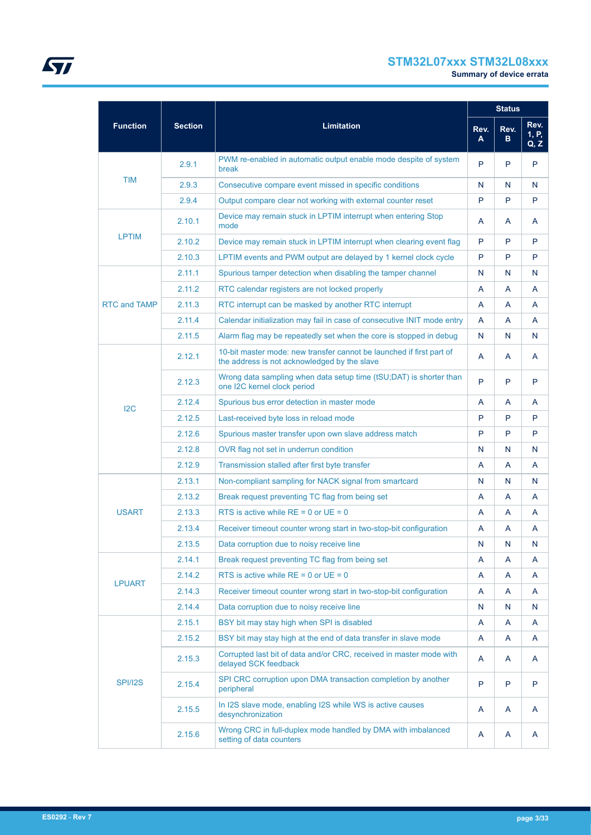# **STM32L07xxx STM32L08xxx**

|                     |                |                                                                                                                      |           | <b>Status</b> |                       |
|---------------------|----------------|----------------------------------------------------------------------------------------------------------------------|-----------|---------------|-----------------------|
| <b>Function</b>     | <b>Section</b> | <b>Limitation</b>                                                                                                    | Rev.<br>A | Rev.<br>В     | Rev.<br>1, P,<br>Q, Z |
|                     | 2.9.1          | PWM re-enabled in automatic output enable mode despite of system<br>break                                            | P         | P             | P                     |
| <b>TIM</b>          | 2.9.3          | Consecutive compare event missed in specific conditions                                                              | N         | N             | N                     |
|                     | 2.9.4          | Output compare clear not working with external counter reset                                                         | P         | P             | P                     |
|                     | 2.10.1         | Device may remain stuck in LPTIM interrupt when entering Stop<br>mode                                                | A         | A             | A                     |
| <b>LPTIM</b>        | 2.10.2         | Device may remain stuck in LPTIM interrupt when clearing event flag                                                  | P         | P             | P                     |
|                     | 2.10.3         | LPTIM events and PWM output are delayed by 1 kernel clock cycle                                                      | P         | P             | P                     |
|                     | 2.11.1         | Spurious tamper detection when disabling the tamper channel                                                          | N         | N             | N                     |
|                     | 2.11.2         | RTC calendar registers are not locked properly                                                                       | A         | A             | A                     |
| <b>RTC and TAMP</b> | 2.11.3         | RTC interrupt can be masked by another RTC interrupt                                                                 | A         | A             | A                     |
|                     | 2.11.4         | Calendar initialization may fail in case of consecutive INIT mode entry                                              | A         | A             | A                     |
|                     | 2.11.5         | Alarm flag may be repeatedly set when the core is stopped in debug                                                   | N         | N             | N                     |
|                     | 2.12.1         | 10-bit master mode: new transfer cannot be launched if first part of<br>the address is not acknowledged by the slave | A         | A             | A                     |
|                     | 2.12.3         | Wrong data sampling when data setup time (tSU;DAT) is shorter than<br>one I2C kernel clock period                    | P         | P             | P                     |
| 12C                 | 2.12.4         | Spurious bus error detection in master mode                                                                          | A         | A             | A                     |
|                     | 2.12.5         | Last-received byte loss in reload mode                                                                               | P         | P             | P                     |
|                     | 2.12.6         | Spurious master transfer upon own slave address match                                                                | P         | P             | P                     |
|                     | 2.12.8         | OVR flag not set in underrun condition                                                                               | N         | N             | N                     |
|                     | 2.12.9         | Transmission stalled after first byte transfer                                                                       | A         | A             | A                     |
|                     | 2.13.1         | Non-compliant sampling for NACK signal from smartcard                                                                | N         | N             | N                     |
|                     | 2.13.2         | Break request preventing TC flag from being set                                                                      | A         | A             | A                     |
| <b>USART</b>        | 2.13.3         | RTS is active while $RE = 0$ or $UE = 0$                                                                             | A         | A             | A                     |
|                     | 2.13.4         | Receiver timeout counter wrong start in two-stop-bit configuration                                                   | A         | A             | A                     |
|                     | 2.13.5         | Data corruption due to noisy receive line                                                                            | N         | N             | N                     |
|                     | 2.14.1         | Break request preventing TC flag from being set                                                                      | A         | A             | A                     |
| <b>LPUART</b>       | 2.14.2         | RTS is active while $RE = 0$ or $UE = 0$                                                                             | A         | A             | A                     |
|                     | 2.14.3         | Receiver timeout counter wrong start in two-stop-bit configuration                                                   | A         | A             | Α                     |
|                     | 2.14.4         | Data corruption due to noisy receive line                                                                            | N         | N             | N                     |
|                     | 2.15.1         | BSY bit may stay high when SPI is disabled                                                                           | A         | A             | A                     |
|                     | 2.15.2         | BSY bit may stay high at the end of data transfer in slave mode                                                      | A         | A             | Α                     |
|                     | 2.15.3         | Corrupted last bit of data and/or CRC, received in master mode with<br>delayed SCK feedback                          | A         | A             | A                     |
| SPI/I2S             | 2.15.4         | SPI CRC corruption upon DMA transaction completion by another<br>peripheral                                          | P         | P             | P                     |
|                     | 2.15.5         | In I2S slave mode, enabling I2S while WS is active causes<br>desynchronization                                       | A         | A             | A                     |
|                     | 2.15.6         | Wrong CRC in full-duplex mode handled by DMA with imbalanced<br>setting of data counters                             | A         | A             | A                     |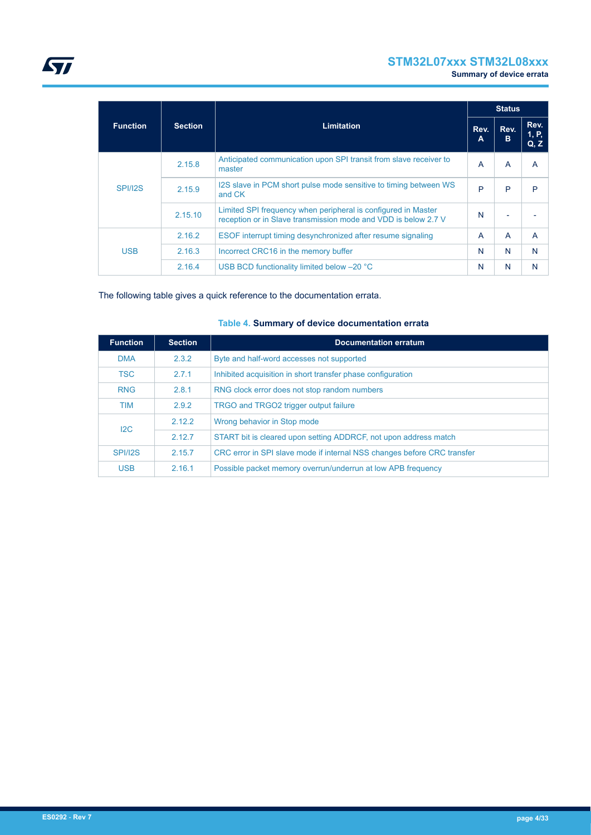# **STM32L07xxx STM32L08xxx**

**Summary of device errata**

|                 |                |                                                                                                                                 |           | <b>Status</b> |                       |
|-----------------|----------------|---------------------------------------------------------------------------------------------------------------------------------|-----------|---------------|-----------------------|
| <b>Function</b> | <b>Section</b> | <b>Limitation</b>                                                                                                               | Rev.<br>A | Rev.<br>в     | Rev.<br>1, P,<br>Q, Z |
|                 | 2.15.8         | Anticipated communication upon SPI transit from slave receiver to<br>master                                                     | A         | A             | A                     |
| <b>SPI/I2S</b>  | 2.15.9         | I2S slave in PCM short pulse mode sensitive to timing between WS<br>and CK                                                      | P         | P             | P                     |
|                 | 2.15.10        | Limited SPI frequency when peripheral is configured in Master<br>reception or in Slave transmission mode and VDD is below 2.7 V | N         |               |                       |
|                 | 2.16.2         | ESOF interrupt timing desynchronized after resume signaling                                                                     | A         | A             | A                     |
| <b>USB</b>      | 2.16.3         | Incorrect CRC16 in the memory buffer                                                                                            | N         | N             | N                     |
|                 | 2.16.4         | USB BCD functionality limited below -20 °C                                                                                      | N         | N             | N                     |

The following table gives a quick reference to the documentation errata.

| <b>Function</b> | <b>Section</b> | <b>Documentation erratum</b>                                            |
|-----------------|----------------|-------------------------------------------------------------------------|
| <b>DMA</b>      | 2.3.2          | Byte and half-word accesses not supported                               |
| <b>TSC</b>      | 2.7.1          | Inhibited acquisition in short transfer phase configuration             |
| <b>RNG</b>      | 2.8.1          | RNG clock error does not stop random numbers                            |
| <b>TIM</b>      | 2.9.2          | TRGO and TRGO2 trigger output failure                                   |
| 12C             | 2.12.2         | Wrong behavior in Stop mode                                             |
|                 | 2.12.7         | START bit is cleared upon setting ADDRCF, not upon address match        |
| <b>SPI/I2S</b>  | 2.15.7         | CRC error in SPI slave mode if internal NSS changes before CRC transfer |
| <b>USB</b>      | 2.16.1         | Possible packet memory overrun/underrun at low APB frequency            |

## **Table 4. Summary of device documentation errata**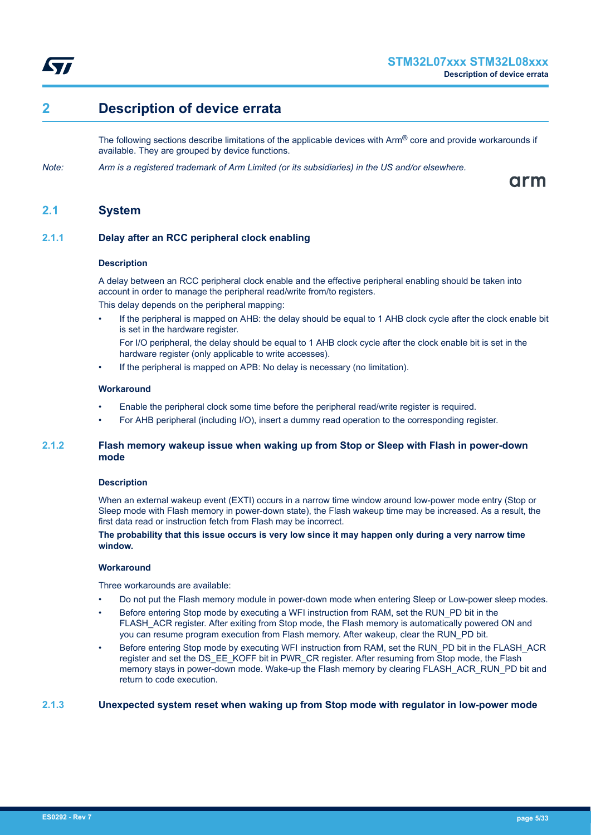<span id="page-4-0"></span>

# **2 Description of device errata**

The following sections describe limitations of the applicable devices with  $Arm^{\circledR}$  core and provide workarounds if available. They are grouped by device functions.

*Note: Arm is a registered trademark of Arm Limited (or its subsidiaries) in the US and/or elsewhere.*

arm

## **2.1 System**

## **2.1.1 Delay after an RCC peripheral clock enabling**

## **Description**

A delay between an RCC peripheral clock enable and the effective peripheral enabling should be taken into account in order to manage the peripheral read/write from/to registers.

This delay depends on the peripheral mapping:

- If the peripheral is mapped on AHB: the delay should be equal to 1 AHB clock cycle after the clock enable bit is set in the hardware register.
	- For I/O peripheral, the delay should be equal to 1 AHB clock cycle after the clock enable bit is set in the hardware register (only applicable to write accesses).
- If the peripheral is mapped on APB: No delay is necessary (no limitation).

## **Workaround**

- Enable the peripheral clock some time before the peripheral read/write register is required.
- For AHB peripheral (including I/O), insert a dummy read operation to the corresponding register.

## **2.1.2 Flash memory wakeup issue when waking up from Stop or Sleep with Flash in power-down mode**

## **Description**

When an external wakeup event (EXTI) occurs in a narrow time window around low-power mode entry (Stop or Sleep mode with Flash memory in power-down state), the Flash wakeup time may be increased. As a result, the first data read or instruction fetch from Flash may be incorrect.

## **The probability that this issue occurs is very low since it may happen only during a very narrow time window.**

## **Workaround**

Three workarounds are available:

- Do not put the Flash memory module in power-down mode when entering Sleep or Low-power sleep modes.
- Before entering Stop mode by executing a WFI instruction from RAM, set the RUN PD bit in the FLASH\_ACR register. After exiting from Stop mode, the Flash memory is automatically powered ON and you can resume program execution from Flash memory. After wakeup, clear the RUN\_PD bit.
- Before entering Stop mode by executing WFI instruction from RAM, set the RUN\_PD bit in the FLASH\_ACR register and set the DS\_EE\_KOFF bit in PWR\_CR register. After resuming from Stop mode, the Flash memory stays in power-down mode. Wake-up the Flash memory by clearing FLASH\_ACR\_RUN\_PD bit and return to code execution.

## **2.1.3 Unexpected system reset when waking up from Stop mode with regulator in low-power mode**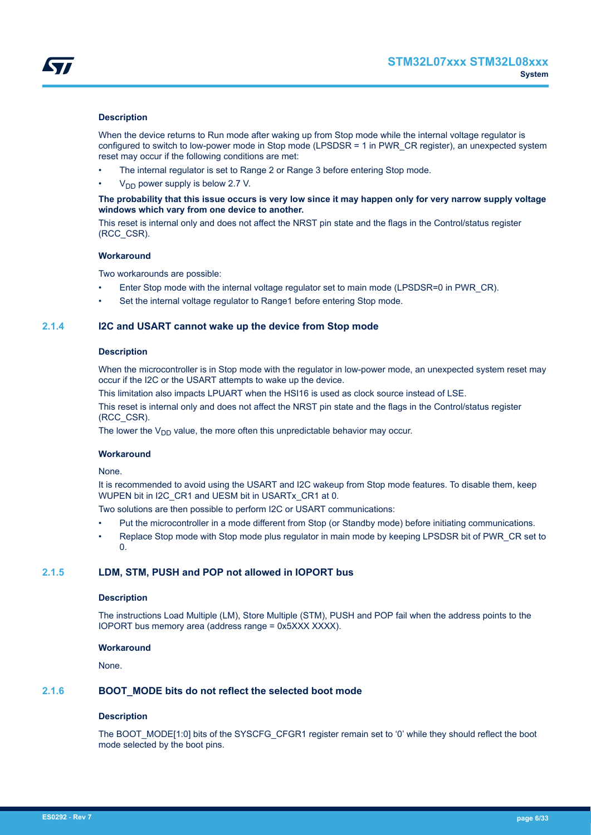<span id="page-5-0"></span>

## **Description**

When the device returns to Run mode after waking up from Stop mode while the internal voltage regulator is configured to switch to low-power mode in Stop mode (LPSDSR = 1 in PWR\_CR register), an unexpected system reset may occur if the following conditions are met:

- The internal regulator is set to Range 2 or Range 3 before entering Stop mode.
- $V<sub>DD</sub>$  power supply is below 2.7 V.

## **The probability that this issue occurs is very low since it may happen only for very narrow supply voltage windows which vary from one device to another.**

This reset is internal only and does not affect the NRST pin state and the flags in the Control/status register (RCC\_CSR).

## **Workaround**

Two workarounds are possible:

- Enter Stop mode with the internal voltage regulator set to main mode (LPSDSR=0 in PWR\_CR).
- Set the internal voltage regulator to Range1 before entering Stop mode.

## **2.1.4 I2C and USART cannot wake up the device from Stop mode**

## **Description**

When the microcontroller is in Stop mode with the regulator in low-power mode, an unexpected system reset may occur if the I2C or the USART attempts to wake up the device.

This limitation also impacts LPUART when the HSI16 is used as clock source instead of LSE.

This reset is internal only and does not affect the NRST pin state and the flags in the Control/status register (RCC\_CSR).

The lower the  $V_{DD}$  value, the more often this unpredictable behavior may occur.

## **Workaround**

## None.

It is recommended to avoid using the USART and I2C wakeup from Stop mode features. To disable them, keep WUPEN bit in I2C\_CR1 and UESM bit in USARTx\_CR1 at 0.

Two solutions are then possible to perform I2C or USART communications:

- Put the microcontroller in a mode different from Stop (or Standby mode) before initiating communications.
- Replace Stop mode with Stop mode plus regulator in main mode by keeping LPSDSR bit of PWR\_CR set to  $\Omega$

## **2.1.5 LDM, STM, PUSH and POP not allowed in IOPORT bus**

## **Description**

The instructions Load Multiple (LM), Store Multiple (STM), PUSH and POP fail when the address points to the IOPORT bus memory area (address range = 0x5XXX XXXX).

## **Workaround**

None.

## **2.1.6 BOOT\_MODE bits do not reflect the selected boot mode**

## **Description**

The BOOT\_MODE[1:0] bits of the SYSCFG\_CFGR1 register remain set to '0' while they should reflect the boot mode selected by the boot pins.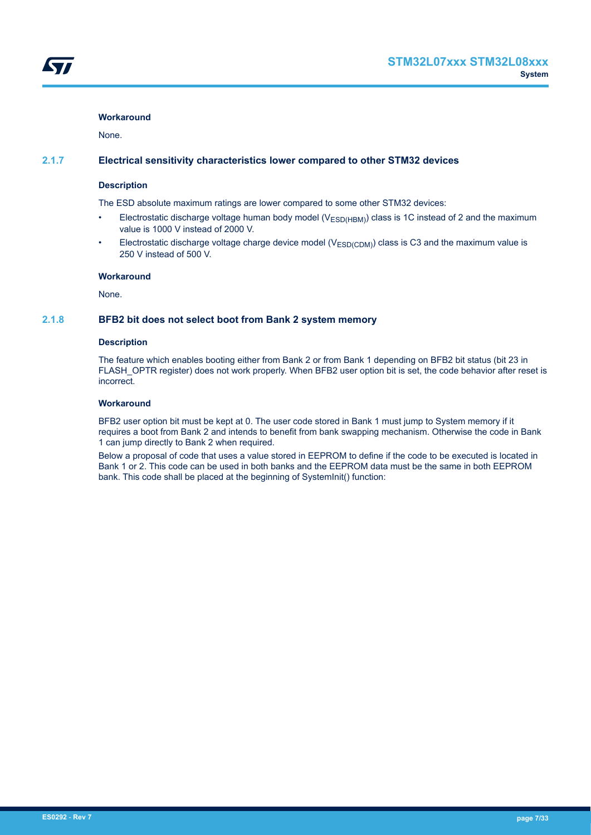## <span id="page-6-0"></span>**Workaround**

None.

## **2.1.7 Electrical sensitivity characteristics lower compared to other STM32 devices**

## **Description**

The ESD absolute maximum ratings are lower compared to some other STM32 devices:

- Electrostatic discharge voltage human body model (V<sub>ESD(HBM)</sub>) class is 1C instead of 2 and the maximum value is 1000 V instead of 2000 V.
- Electrostatic discharge voltage charge device model ( $V_{ESD(CDM)}$ ) class is C3 and the maximum value is 250 V instead of 500 V.

## **Workaround**

None.

## **2.1.8 BFB2 bit does not select boot from Bank 2 system memory**

## **Description**

The feature which enables booting either from Bank 2 or from Bank 1 depending on BFB2 bit status (bit 23 in FLASH\_OPTR register) does not work properly. When BFB2 user option bit is set, the code behavior after reset is incorrect.

## **Workaround**

BFB2 user option bit must be kept at 0. The user code stored in Bank 1 must jump to System memory if it requires a boot from Bank 2 and intends to benefit from bank swapping mechanism. Otherwise the code in Bank 1 can jump directly to Bank 2 when required.

Below a proposal of code that uses a value stored in EEPROM to define if the code to be executed is located in Bank 1 or 2. This code can be used in both banks and the EEPROM data must be the same in both EEPROM bank. This code shall be placed at the beginning of SystemInit() function: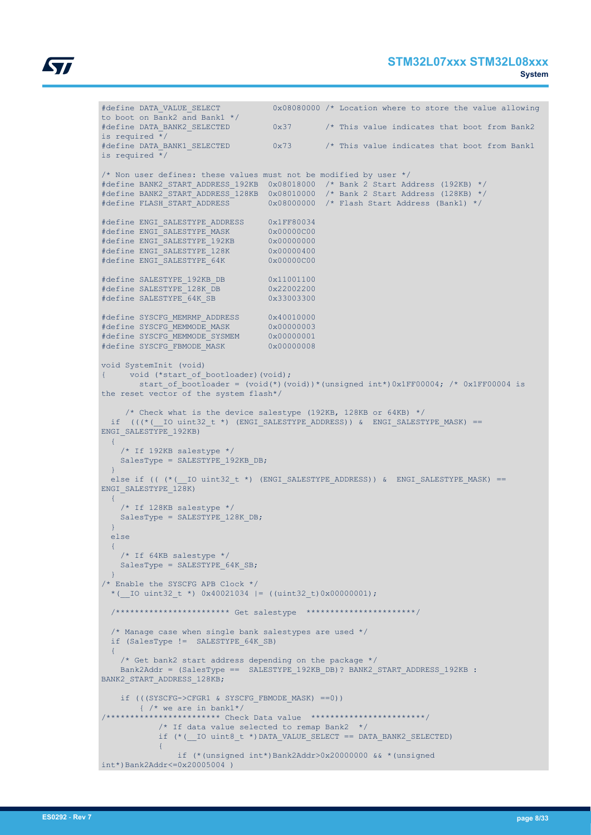

```
#define DATA VALUE SELECT 0x08080000 /* Location where to store the value allowing
to boot on Bank2 and Bank1 */ 
#define DATA_BANK2_SELECTED 0x37 /* This value indicates that boot from Bank2
is required \overline{\overline{X}}/
#define DATA_BANK1_SELECTED 0x73 /* This value indicates that boot from Bank1
is required \overline{\star}/
/* Non user defines: these values must not be modified by user */#define BANK2_START_ADDRESS_192KB 0x08018000 /* Bank 2 Start Address (192KB) */
#define BANK2_START_ADDRESS_128KB 0x08010000 /* Bank 2 Start Address (128KB) */
#define FLASH_START_ADDRESS 0x08000000 /* Flash Start Address (Bank1) */
#define ENGI_SALESTYPE_ADDRESS 0x1FF80034
#define ENGI_SALESTYPE_MASK 0x00000C00
#define ENGI_SALESTYPE_192KB 0x00000000
#define ENGI_SALESTYPE_128K 0x00000400
#define ENGI_SALESTYPE_64K 0x00000C00
#define SALESTYPE_192KB_DB 0x11001100
#define SALESTYPE_128K_DB 0x22002200
#define SALESTYPE_64K_SB 0x33003300
#define SYSCFG_MEMRMP_ADDRESS 0x40010000
#define SYSCFG_MEMMODE_MASK 0x00000003
#define SYSCFG_MEMMODE_SYSMEM 0x00000001
#define SYSCFG_FBMODE_MASK 0x00000008
void SystemInit (void)
{ void (*start_of_bootloader)(void);
       start of bootloader = (void(*)(void))*(unsigned int*)0x1FF00004; /* 0x1FF00004 is
the reset vector of the system flash*/
     /* Check what is the device salestype (192KB, 128KB or 64KB) */if (((*(_10 unit32_t *) (ENGI_SALESTYPE_ADDRES))) & ENGI_SALESTYPE_MASK) ==
ENGI_SALESTYPE_192KB)
 \left\{ \right. /* If 192KB salestype */
   SalesType = SALESTYPE 192KB DB;\rightarrowelse if ((*(\_\_IO uint32_t *) (ENGI_SALESTYPE_ADDRESS)) & ENGI_SALESTYPE_MASK) ==
ENGI_SALESTYPE_128K)
  \left\{ \right. /* If 128KB salestype */
   SalesType = SALESTYPE 128K DB;
\begin{array}{c} \begin{array}{c} \end{array} \end{array} else
  \left\{ \right. /* If 64KB salestype */
   SalesType = SALESTYPE 64K SB;
  }
/* Enable the SYSCFG APB Clock */
  *( IO uint32 t *) 0x40021034 |= ((uint32 t)0x00000001);
   /************************ Get salestype ***********************/
  /* Manage case when single bank salestypes are used */
  if (SalesType != SALESTYPE_64K_SB)
\left| \cdot \right|\frac{1}{2} Get bank2 start address depending on the package \frac{1}{2}Bank2Addr = (SalesType == SALESTYPE 192KB DB)? BANK2 START ADDRESS 192KB :
BANK2_START_ADDRESS_128KB;
     if (((SYSCFG->CFGR1 & SYSCFG_FBMODE_MASK) ==0)) 
      \frac{1}{x} /* we are in bank1*/
/************************ Check Data value ************************/
           /* If data value selected to remap Bank2 */if (* ( IO uint8 t *)DATA VALUE SELECT == DATA BANK2 SELECTED)
\{ \mathcal{A} \in \mathcal{A} \mid \mathcal{A} \in \mathcal{A} \} if (*(unsigned int*)Bank2Addr>0x20000000 && *(unsigned 
int*)Bank2Addr<=0x20005004 )
```

```
ES0292 - Rev 7 page 8/33
```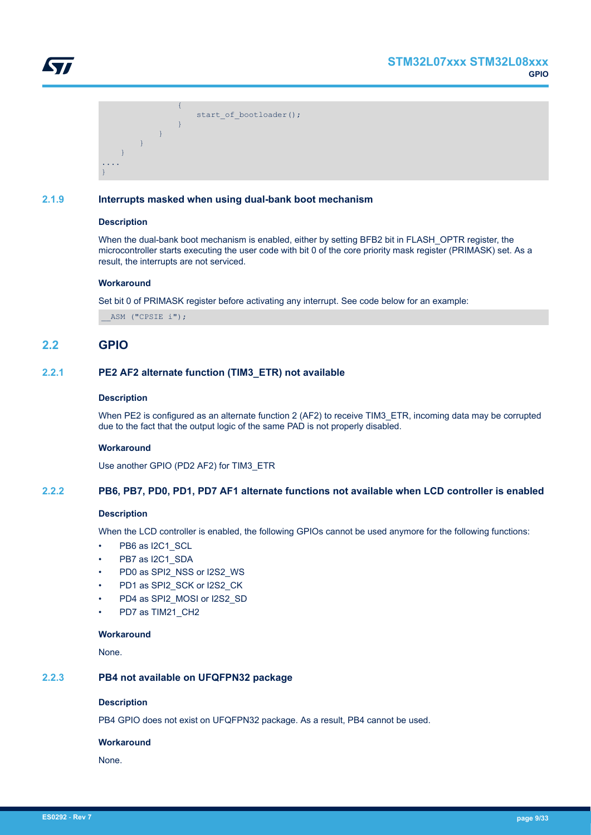<span id="page-8-0"></span>

 ${1 \over 2}$  (  ${1 \over 2}$  )  ${1 \over 2}$  (  ${1 \over 2}$  )  ${1 \over 2}$  (  ${1 \over 2}$  )  ${1 \over 2}$ start of bootloader(); *Property of the second party of the Second Property*  } } } .... }

## **2.1.9 Interrupts masked when using dual-bank boot mechanism**

## **Description**

When the dual-bank boot mechanism is enabled, either by setting BFB2 bit in FLASH\_OPTR register, the microcontroller starts executing the user code with bit 0 of the core priority mask register (PRIMASK) set. As a result, the interrupts are not serviced.

## **Workaround**

Set bit 0 of PRIMASK register before activating any interrupt. See code below for an example:

ASM ("CPSIE i");

## **2.2 GPIO**

## **2.2.1 PE2 AF2 alternate function (TIM3\_ETR) not available**

## **Description**

When PE2 is configured as an alternate function 2 (AF2) to receive TIM3\_ETR, incoming data may be corrupted due to the fact that the output logic of the same PAD is not properly disabled.

## **Workaround**

Use another GPIO (PD2 AF2) for TIM3\_ETR

## **2.2.2 PB6, PB7, PD0, PD1, PD7 AF1 alternate functions not available when LCD controller is enabled**

## **Description**

When the LCD controller is enabled, the following GPIOs cannot be used anymore for the following functions:

- PB6 as I2C1\_SCL
- PB7 as I2C1\_SDA
- PD0 as SPI2\_NSS or I2S2\_WS
- PD1 as SPI2\_SCK or I2S2\_CK
- PD4 as SPI2\_MOSI or I2S2\_SD
- PD7 as TIM21\_CH2

## **Workaround**

None.

## **2.2.3 PB4 not available on UFQFPN32 package**

## **Description**

PB4 GPIO does not exist on UFQFPN32 package. As a result, PB4 cannot be used.

## **Workaround**

None.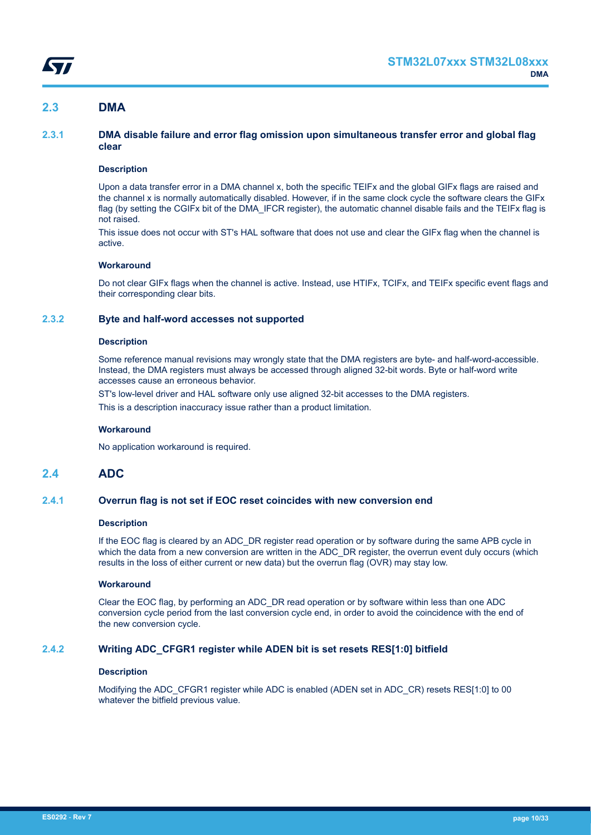## <span id="page-9-0"></span>**2.3 DMA**

## **2.3.1 DMA disable failure and error flag omission upon simultaneous transfer error and global flag clear**

## **Description**

Upon a data transfer error in a DMA channel x, both the specific TEIFx and the global GIFx flags are raised and the channel x is normally automatically disabled. However, if in the same clock cycle the software clears the GIFx flag (by setting the CGIFx bit of the DMA\_IFCR register), the automatic channel disable fails and the TEIFx flag is not raised.

This issue does not occur with ST's HAL software that does not use and clear the GIFx flag when the channel is active.

## **Workaround**

Do not clear GIFx flags when the channel is active. Instead, use HTIFx, TCIFx, and TEIFx specific event flags and their corresponding clear bits.

## **2.3.2 Byte and half-word accesses not supported**

## **Description**

Some reference manual revisions may wrongly state that the DMA registers are byte- and half-word-accessible. Instead, the DMA registers must always be accessed through aligned 32-bit words. Byte or half-word write accesses cause an erroneous behavior.

ST's low-level driver and HAL software only use aligned 32-bit accesses to the DMA registers.

This is a description inaccuracy issue rather than a product limitation.

## **Workaround**

No application workaround is required.

## **2.4 ADC**

## **2.4.1 Overrun flag is not set if EOC reset coincides with new conversion end**

## **Description**

If the EOC flag is cleared by an ADC\_DR register read operation or by software during the same APB cycle in which the data from a new conversion are written in the ADC\_DR register, the overrun event duly occurs (which results in the loss of either current or new data) but the overrun flag (OVR) may stay low.

## **Workaround**

Clear the EOC flag, by performing an ADC\_DR read operation or by software within less than one ADC conversion cycle period from the last conversion cycle end, in order to avoid the coincidence with the end of the new conversion cycle.

## **2.4.2 Writing ADC\_CFGR1 register while ADEN bit is set resets RES[1:0] bitfield**

## **Description**

Modifying the ADC\_CFGR1 register while ADC is enabled (ADEN set in ADC\_CR) resets RES[1:0] to 00 whatever the bitfield previous value.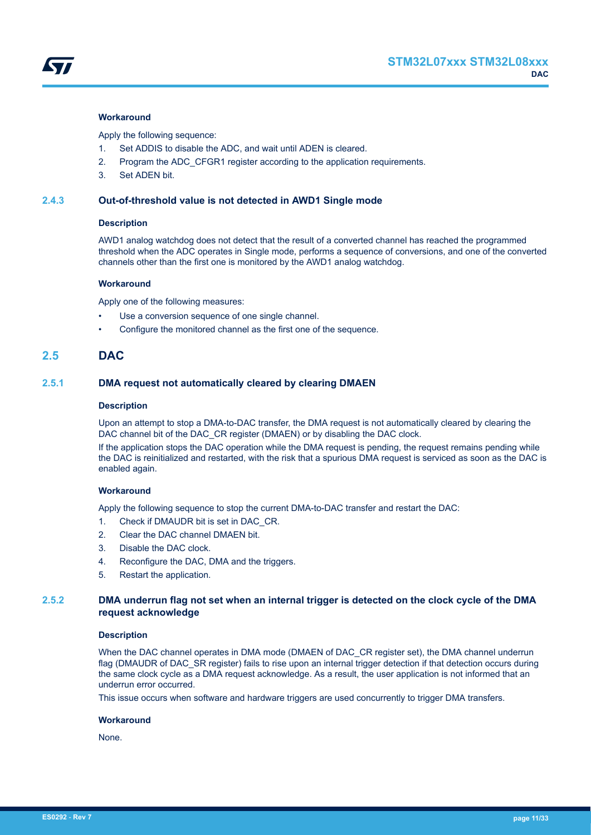<span id="page-10-0"></span>

## **Workaround**

Apply the following sequence:

- 1. Set ADDIS to disable the ADC, and wait until ADEN is cleared.
- 2. Program the ADC\_CFGR1 register according to the application requirements.
- 3. Set ADEN bit.

## **2.4.3 Out-of-threshold value is not detected in AWD1 Single mode**

## **Description**

AWD1 analog watchdog does not detect that the result of a converted channel has reached the programmed threshold when the ADC operates in Single mode, performs a sequence of conversions, and one of the converted channels other than the first one is monitored by the AWD1 analog watchdog.

#### **Workaround**

Apply one of the following measures:

- Use a conversion sequence of one single channel.
- Configure the monitored channel as the first one of the sequence.

## **2.5 DAC**

## **2.5.1 DMA request not automatically cleared by clearing DMAEN**

#### **Description**

Upon an attempt to stop a DMA-to-DAC transfer, the DMA request is not automatically cleared by clearing the DAC channel bit of the DAC\_CR register (DMAEN) or by disabling the DAC clock.

If the application stops the DAC operation while the DMA request is pending, the request remains pending while the DAC is reinitialized and restarted, with the risk that a spurious DMA request is serviced as soon as the DAC is enabled again.

## **Workaround**

Apply the following sequence to stop the current DMA-to-DAC transfer and restart the DAC:

- 1. Check if DMAUDR bit is set in DAC\_CR.
- 2. Clear the DAC channel DMAEN bit.
- 3. Disable the DAC clock.
- 4. Reconfigure the DAC, DMA and the triggers.
- 5. Restart the application.

## **2.5.2 DMA underrun flag not set when an internal trigger is detected on the clock cycle of the DMA request acknowledge**

## **Description**

When the DAC channel operates in DMA mode (DMAEN of DAC\_CR register set), the DMA channel underrun flag (DMAUDR of DAC\_SR register) fails to rise upon an internal trigger detection if that detection occurs during the same clock cycle as a DMA request acknowledge. As a result, the user application is not informed that an underrun error occurred.

This issue occurs when software and hardware triggers are used concurrently to trigger DMA transfers.

#### **Workaround**

None.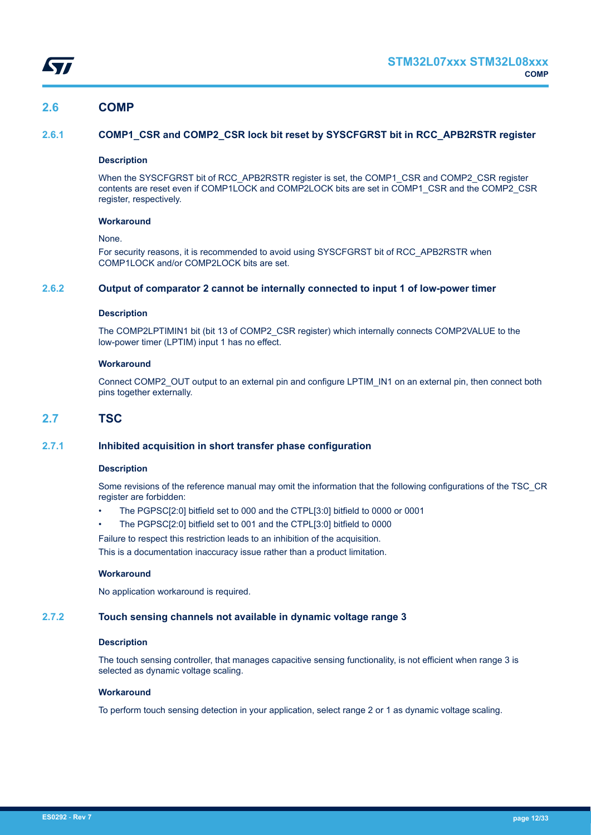<span id="page-11-0"></span>

## **2.6 COMP**

## **2.6.1 COMP1\_CSR and COMP2\_CSR lock bit reset by SYSCFGRST bit in RCC\_APB2RSTR register**

## **Description**

When the SYSCFGRST bit of RCC\_APB2RSTR register is set, the COMP1\_CSR and COMP2\_CSR register contents are reset even if COMP1LOCK and COMP2LOCK bits are set in COMP1\_CSR and the COMP2\_CSR register, respectively.

## **Workaround**

## None.

For security reasons, it is recommended to avoid using SYSCFGRST bit of RCC\_APB2RSTR when COMP1LOCK and/or COMP2LOCK bits are set.

## **2.6.2 Output of comparator 2 cannot be internally connected to input 1 of low-power timer**

## **Description**

The COMP2LPTIMIN1 bit (bit 13 of COMP2\_CSR register) which internally connects COMP2VALUE to the low-power timer (LPTIM) input 1 has no effect.

## **Workaround**

Connect COMP2\_OUT output to an external pin and configure LPTIM\_IN1 on an external pin, then connect both pins together externally.

## **2.7 TSC**

## **2.7.1 Inhibited acquisition in short transfer phase configuration**

## **Description**

Some revisions of the reference manual may omit the information that the following configurations of the TSC\_CR register are forbidden:

- The PGPSC[2:0] bitfield set to 000 and the CTPL[3:0] bitfield to 0000 or 0001
- The PGPSC[2:0] bitfield set to 001 and the CTPL[3:0] bitfield to 0000

Failure to respect this restriction leads to an inhibition of the acquisition. This is a documentation inaccuracy issue rather than a product limitation.

## **Workaround**

No application workaround is required.

## **2.7.2 Touch sensing channels not available in dynamic voltage range 3**

## **Description**

The touch sensing controller, that manages capacitive sensing functionality, is not efficient when range 3 is selected as dynamic voltage scaling.

## **Workaround**

To perform touch sensing detection in your application, select range 2 or 1 as dynamic voltage scaling.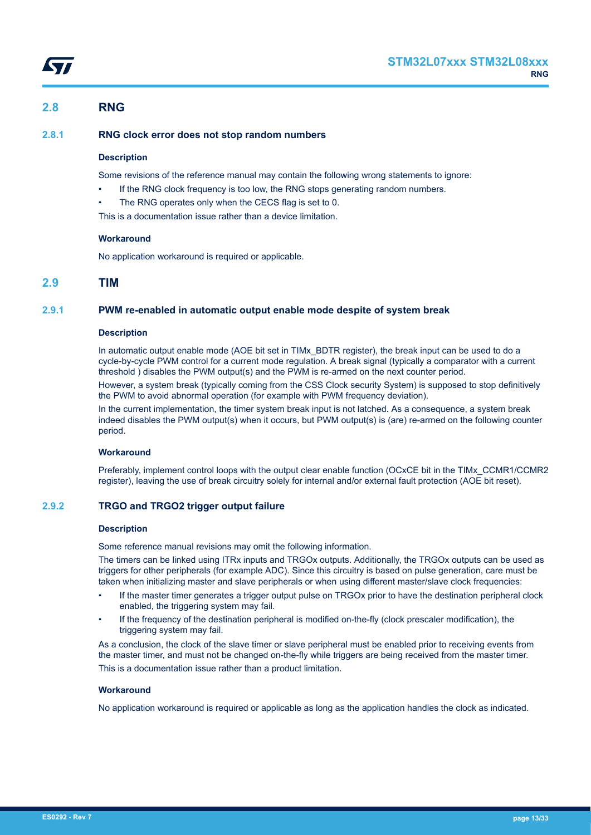## <span id="page-12-0"></span>**2.8 RNG**

## **2.8.1 RNG clock error does not stop random numbers**

## **Description**

Some revisions of the reference manual may contain the following wrong statements to ignore:

- If the RNG clock frequency is too low, the RNG stops generating random numbers.
- The RNG operates only when the CECS flag is set to 0.

This is a documentation issue rather than a device limitation.

## **Workaround**

No application workaround is required or applicable.

## **2.9 TIM**

## **2.9.1 PWM re-enabled in automatic output enable mode despite of system break**

## **Description**

In automatic output enable mode (AOE bit set in TIMx\_BDTR register), the break input can be used to do a cycle-by-cycle PWM control for a current mode regulation. A break signal (typically a comparator with a current threshold ) disables the PWM output(s) and the PWM is re-armed on the next counter period.

However, a system break (typically coming from the CSS Clock security System) is supposed to stop definitively the PWM to avoid abnormal operation (for example with PWM frequency deviation).

In the current implementation, the timer system break input is not latched. As a consequence, a system break indeed disables the PWM output(s) when it occurs, but PWM output(s) is (are) re-armed on the following counter period.

## **Workaround**

Preferably, implement control loops with the output clear enable function (OCxCE bit in the TIMx\_CCMR1/CCMR2 register), leaving the use of break circuitry solely for internal and/or external fault protection (AOE bit reset).

## **2.9.2 TRGO and TRGO2 trigger output failure**

## **Description**

Some reference manual revisions may omit the following information.

The timers can be linked using ITRx inputs and TRGOx outputs. Additionally, the TRGOx outputs can be used as triggers for other peripherals (for example ADC). Since this circuitry is based on pulse generation, care must be taken when initializing master and slave peripherals or when using different master/slave clock frequencies:

- If the master timer generates a trigger output pulse on TRGOx prior to have the destination peripheral clock enabled, the triggering system may fail.
- If the frequency of the destination peripheral is modified on-the-fly (clock prescaler modification), the triggering system may fail.

As a conclusion, the clock of the slave timer or slave peripheral must be enabled prior to receiving events from the master timer, and must not be changed on-the-fly while triggers are being received from the master timer. This is a documentation issue rather than a product limitation.

## **Workaround**

No application workaround is required or applicable as long as the application handles the clock as indicated.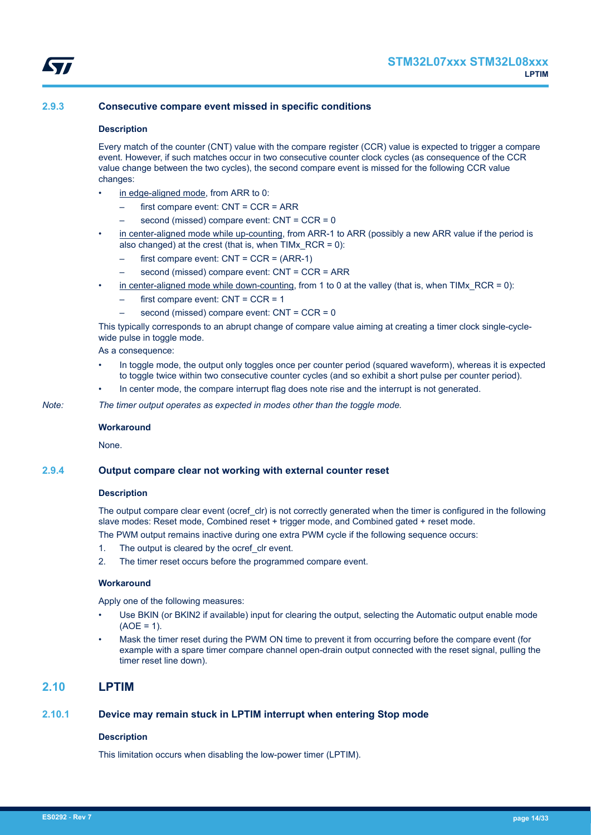

## <span id="page-13-0"></span>**2.9.3 Consecutive compare event missed in specific conditions**

#### **Description**

Every match of the counter (CNT) value with the compare register (CCR) value is expected to trigger a compare event. However, if such matches occur in two consecutive counter clock cycles (as consequence of the CCR value change between the two cycles), the second compare event is missed for the following CCR value changes:

- in edge-aligned mode, from ARR to 0:
	- first compare event: CNT = CCR = ARR
	- second (missed) compare event: CNT = CCR = 0
- in center-aligned mode while up-counting, from ARR-1 to ARR (possibly a new ARR value if the period is also changed) at the crest (that is, when TIMx\_RCR = 0):
	- first compare event:  $CNT = CCR = (ARR-1)$
	- second (missed) compare event: CNT = CCR = ARR
- in center-aligned mode while down-counting, from 1 to 0 at the valley (that is, when  $TIME\_RCR = 0$ ):
	- first compare event:  $CNT = CCR = 1$
	- second (missed) compare event: CNT = CCR = 0

This typically corresponds to an abrupt change of compare value aiming at creating a timer clock single-cyclewide pulse in toggle mode.

As a consequence:

- In toggle mode, the output only toggles once per counter period (squared waveform), whereas it is expected to toggle twice within two consecutive counter cycles (and so exhibit a short pulse per counter period).
- In center mode, the compare interrupt flag does note rise and the interrupt is not generated.

*Note: The timer output operates as expected in modes other than the toggle mode.*

#### **Workaround**

**None** 

#### **2.9.4 Output compare clear not working with external counter reset**

#### **Description**

The output compare clear event (ocref clr) is not correctly generated when the timer is configured in the following slave modes: Reset mode, Combined reset + trigger mode, and Combined gated + reset mode. The PWM output remains inactive during one extra PWM cycle if the following sequence occurs:

- 1. The output is cleared by the ocref clr event.
- 2. The timer reset occurs before the programmed compare event.

#### **Workaround**

Apply one of the following measures:

- Use BKIN (or BKIN2 if available) input for clearing the output, selecting the Automatic output enable mode  $(AOE = 1)$ .
- Mask the timer reset during the PWM ON time to prevent it from occurring before the compare event (for example with a spare timer compare channel open-drain output connected with the reset signal, pulling the timer reset line down).

## **2.10 LPTIM**

## **2.10.1 Device may remain stuck in LPTIM interrupt when entering Stop mode**

#### **Description**

This limitation occurs when disabling the low-power timer (LPTIM).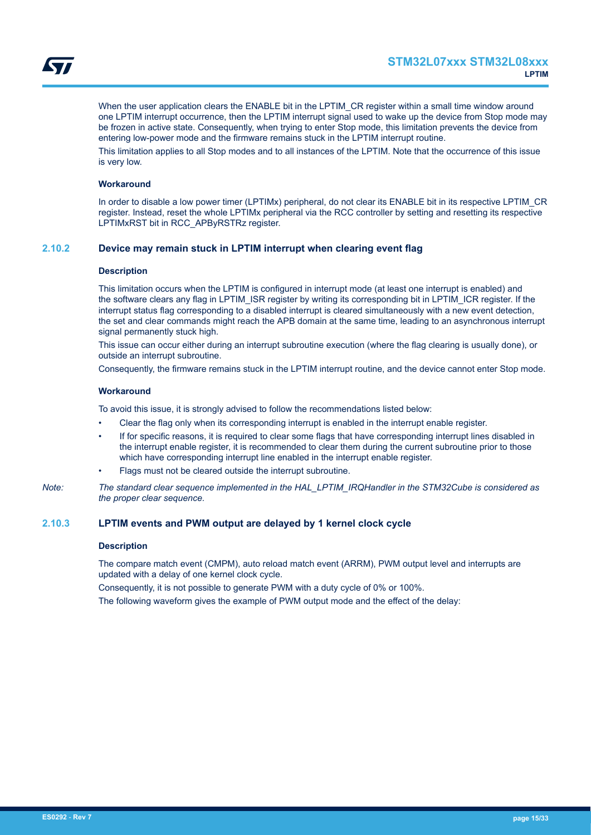<span id="page-14-0"></span>

When the user application clears the ENABLE bit in the LPTIM\_CR register within a small time window around one LPTIM interrupt occurrence, then the LPTIM interrupt signal used to wake up the device from Stop mode may be frozen in active state. Consequently, when trying to enter Stop mode, this limitation prevents the device from entering low-power mode and the firmware remains stuck in the LPTIM interrupt routine.

This limitation applies to all Stop modes and to all instances of the LPTIM. Note that the occurrence of this issue is very low.

## **Workaround**

In order to disable a low power timer (LPTIMx) peripheral, do not clear its ENABLE bit in its respective LPTIM\_CR register. Instead, reset the whole LPTIMx peripheral via the RCC controller by setting and resetting its respective LPTIMxRST bit in RCC\_APByRSTRz register.

## **2.10.2 Device may remain stuck in LPTIM interrupt when clearing event flag**

#### **Description**

This limitation occurs when the LPTIM is configured in interrupt mode (at least one interrupt is enabled) and the software clears any flag in LPTIM\_ISR register by writing its corresponding bit in LPTIM\_ICR register. If the interrupt status flag corresponding to a disabled interrupt is cleared simultaneously with a new event detection, the set and clear commands might reach the APB domain at the same time, leading to an asynchronous interrupt signal permanently stuck high.

This issue can occur either during an interrupt subroutine execution (where the flag clearing is usually done), or outside an interrupt subroutine.

Consequently, the firmware remains stuck in the LPTIM interrupt routine, and the device cannot enter Stop mode.

#### **Workaround**

To avoid this issue, it is strongly advised to follow the recommendations listed below:

- Clear the flag only when its corresponding interrupt is enabled in the interrupt enable register.
- If for specific reasons, it is required to clear some flags that have corresponding interrupt lines disabled in the interrupt enable register, it is recommended to clear them during the current subroutine prior to those which have corresponding interrupt line enabled in the interrupt enable register.
- Flags must not be cleared outside the interrupt subroutine.

*Note: The standard clear sequence implemented in the HAL\_LPTIM\_IRQHandler in the STM32Cube is considered as the proper clear sequence.*

#### **2.10.3 LPTIM events and PWM output are delayed by 1 kernel clock cycle**

#### **Description**

The compare match event (CMPM), auto reload match event (ARRM), PWM output level and interrupts are updated with a delay of one kernel clock cycle.

Consequently, it is not possible to generate PWM with a duty cycle of 0% or 100%.

The following waveform gives the example of PWM output mode and the effect of the delay: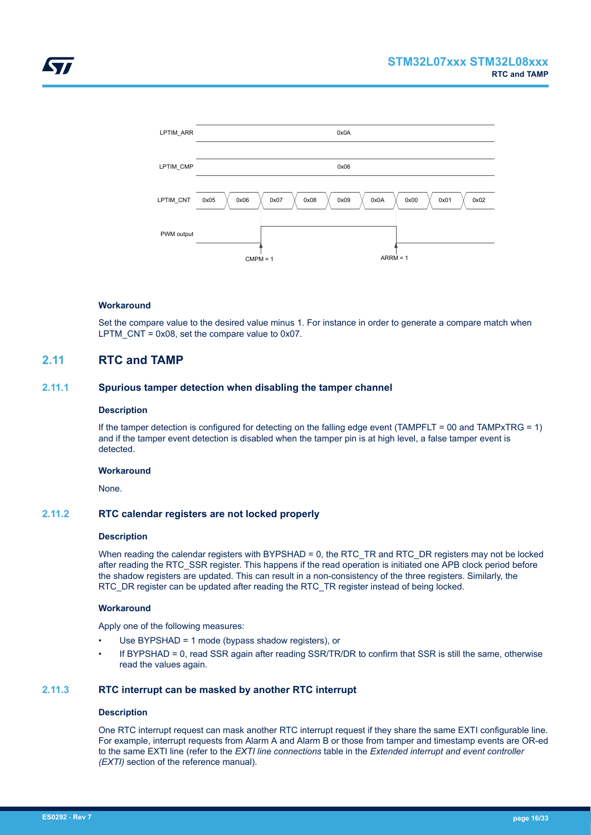<span id="page-15-0"></span>

## **Workaround**

Set the compare value to the desired value minus 1. For instance in order to generate a compare match when LPTM  $CNT = 0x08$ , set the compare value to 0x07.

## **2.11 RTC and TAMP**

## **2.11.1 Spurious tamper detection when disabling the tamper channel**

## **Description**

If the tamper detection is configured for detecting on the falling edge event (TAMPFLT = 00 and TAMPxTRG = 1) and if the tamper event detection is disabled when the tamper pin is at high level, a false tamper event is detected.

## **Workaround**

None.

## **2.11.2 RTC calendar registers are not locked properly**

## **Description**

When reading the calendar registers with BYPSHAD = 0, the RTC\_TR and RTC\_DR registers may not be locked after reading the RTC\_SSR register. This happens if the read operation is initiated one APB clock period before the shadow registers are updated. This can result in a non-consistency of the three registers. Similarly, the RTC\_DR register can be updated after reading the RTC\_TR register instead of being locked.

## **Workaround**

Apply one of the following measures:

- Use BYPSHAD = 1 mode (bypass shadow registers), or
- If BYPSHAD = 0, read SSR again after reading SSR/TR/DR to confirm that SSR is still the same, otherwise read the values again.

## **2.11.3 RTC interrupt can be masked by another RTC interrupt**

## **Description**

One RTC interrupt request can mask another RTC interrupt request if they share the same EXTI configurable line. For example, interrupt requests from Alarm A and Alarm B or those from tamper and timestamp events are OR-ed to the same EXTI line (refer to the *EXTI line connections* table in the *Extended interrupt and event controller (EXTI)* section of the reference manual).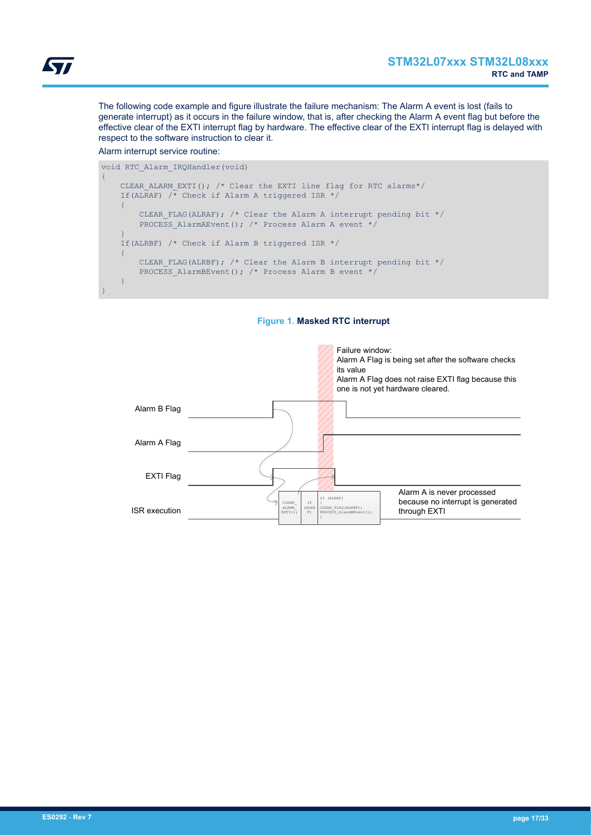The following code example and figure illustrate the failure mechanism: The Alarm A event is lost (fails to generate interrupt) as it occurs in the failure window, that is, after checking the Alarm A event flag but before the effective clear of the EXTI interrupt flag by hardware. The effective clear of the EXTI interrupt flag is delayed with respect to the software instruction to clear it.

## Alarm interrupt service routine:

```
void RTC_Alarm_IRQHandler(void)
{
    CLEAR ALARM EXTI(); /* Clear the EXTI line flag for RTC alarms*/
    If(ALRAF) \overline{A} Check if Alarm A triggered ISR */
      {
         CLEAR_FLAG(ALRAF); /* Clear the Alarm A interrupt pending bit */
         PROCESS AlarmAEvent(); /* Process Alarm A event */
\left\{\begin{array}{cc} 1 & 1 \\ 1 & 1 \end{array}\right\} If(ALRBF) /* Check if Alarm B triggered ISR */
     {
         CLEAR FLAG(ALRBF); /* Clear the Alarm B interrupt pending bit */
         PROCESS AlarmBEvent(); /* Process Alarm B event */
     }
}
```


## **Figure 1. Masked RTC interrupt**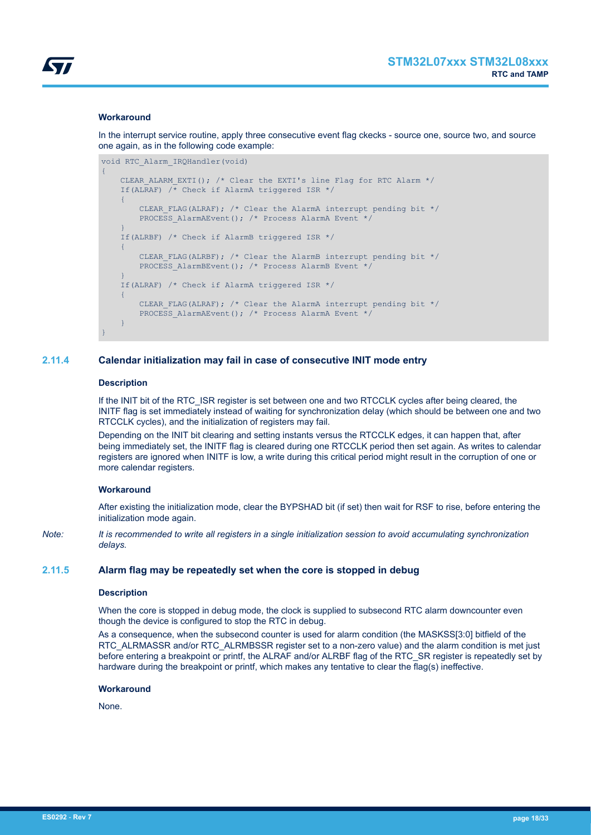<span id="page-17-0"></span>

## **Workaround**

In the interrupt service routine, apply three consecutive event flag ckecks - source one, source two, and source one again, as in the following code example:

```
void RTC_Alarm_IRQHandler(void)
{
    CLEAR ALARM EXTI(); /* Clear the EXTI's line Flag for RTC Alarm */
    If(ALRAF) \overline{A} Check if AlarmA triggered ISR */
\overline{\phantom{a}}CLEAR FLAG(ALRAF); /* Clear the AlarmA interrupt pending bit */
         PROCESS AlarmAEvent(); /* Process AlarmA Event */
\left\{\begin{array}{cc} 1 & 1 \\ 1 & 1 \end{array}\right\} If(ALRBF) /* Check if AlarmB triggered ISR */
     {
         CLEAR FLAG(ALRBF); /* Clear the AlarmB interrupt pending bit */
         PROCESS AlarmBEvent(); /* Process AlarmB Event */
     }
     If(ALRAF) /* Check if AlarmA triggered ISR */
     {
         CLEAR FLAG(ALRAF); /* Clear the AlarmA interrupt pending bit */
         PROCESS AlarmAEvent(); /* Process AlarmA Event */
     }
}
```
## **2.11.4 Calendar initialization may fail in case of consecutive INIT mode entry**

#### **Description**

If the INIT bit of the RTC ISR register is set between one and two RTCCLK cycles after being cleared, the INITF flag is set immediately instead of waiting for synchronization delay (which should be between one and two RTCCLK cycles), and the initialization of registers may fail.

Depending on the INIT bit clearing and setting instants versus the RTCCLK edges, it can happen that, after being immediately set, the INITF flag is cleared during one RTCCLK period then set again. As writes to calendar registers are ignored when INITF is low, a write during this critical period might result in the corruption of one or more calendar registers.

## **Workaround**

After existing the initialization mode, clear the BYPSHAD bit (if set) then wait for RSF to rise, before entering the initialization mode again.

*Note: It is recommended to write all registers in a single initialization session to avoid accumulating synchronization delays.*

## **2.11.5 Alarm flag may be repeatedly set when the core is stopped in debug**

#### **Description**

When the core is stopped in debug mode, the clock is supplied to subsecond RTC alarm downcounter even though the device is configured to stop the RTC in debug.

As a consequence, when the subsecond counter is used for alarm condition (the MASKSS[3:0] bitfield of the RTC\_ALRMASSR and/or RTC\_ALRMBSSR register set to a non-zero value) and the alarm condition is met just before entering a breakpoint or printf, the ALRAF and/or ALRBF flag of the RTC\_SR register is repeatedly set by hardware during the breakpoint or printf, which makes any tentative to clear the flag(s) ineffective.

#### **Workaround**

None.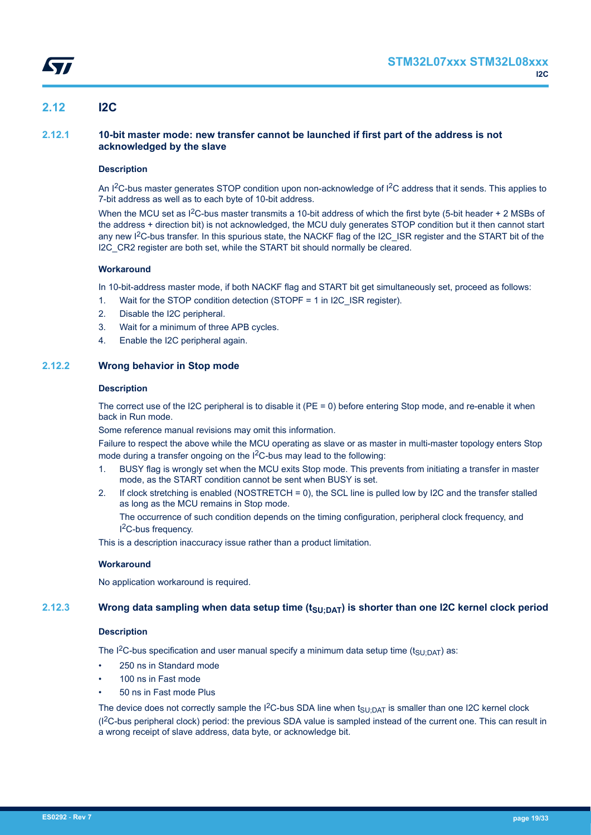## <span id="page-18-0"></span>**2.12 I2C**

## **2.12.1 10-bit master mode: new transfer cannot be launched if first part of the address is not acknowledged by the slave**

## **Description**

An I<sup>2</sup>C-bus master generates STOP condition upon non-acknowledge of I<sup>2</sup>C address that it sends. This applies to 7-bit address as well as to each byte of 10-bit address.

When the MCU set as  $1^2C$ -bus master transmits a 10-bit address of which the first byte (5-bit header + 2 MSBs of the address + direction bit) is not acknowledged, the MCU duly generates STOP condition but it then cannot start any new I<sup>2</sup>C-bus transfer. In this spurious state, the NACKF flag of the I2C\_ISR register and the START bit of the I2C CR2 register are both set, while the START bit should normally be cleared.

## **Workaround**

In 10-bit-address master mode, if both NACKF flag and START bit get simultaneously set, proceed as follows:

- 1. Wait for the STOP condition detection (STOPF = 1 in I2C\_ISR register).
- 2. Disable the I2C peripheral.
- 3. Wait for a minimum of three APB cycles.
- 4. Enable the I2C peripheral again.

## **2.12.2 Wrong behavior in Stop mode**

## **Description**

The correct use of the I2C peripheral is to disable it (PE = 0) before entering Stop mode, and re-enable it when back in Run mode.

Some reference manual revisions may omit this information.

Failure to respect the above while the MCU operating as slave or as master in multi-master topology enters Stop mode during a transfer ongoing on the I<sup>2</sup>C-bus may lead to the following:

- 1. BUSY flag is wrongly set when the MCU exits Stop mode. This prevents from initiating a transfer in master mode, as the START condition cannot be sent when BUSY is set.
- 2. If clock stretching is enabled (NOSTRETCH = 0), the SCL line is pulled low by I2C and the transfer stalled as long as the MCU remains in Stop mode.

The occurrence of such condition depends on the timing configuration, peripheral clock frequency, and I <sup>2</sup>C-bus frequency.

This is a description inaccuracy issue rather than a product limitation.

## **Workaround**

No application workaround is required.

## **2.12.3 Wrong data sampling when data setup time (tSU;DAT) is shorter than one I2C kernel clock period**

## **Description**

The I<sup>2</sup>C-bus specification and user manual specify a minimum data setup time (t<sub>SU:DAT</sub>) as:

- 250 ns in Standard mode
- 100 ns in Fast mode
- 50 ns in Fast mode Plus

The device does not correctly sample the I<sup>2</sup>C-bus SDA line when  $t_{\text{SU;DAT}}$  is smaller than one I2C kernel clock (I2C-bus peripheral clock) period: the previous SDA value is sampled instead of the current one. This can result in a wrong receipt of slave address, data byte, or acknowledge bit.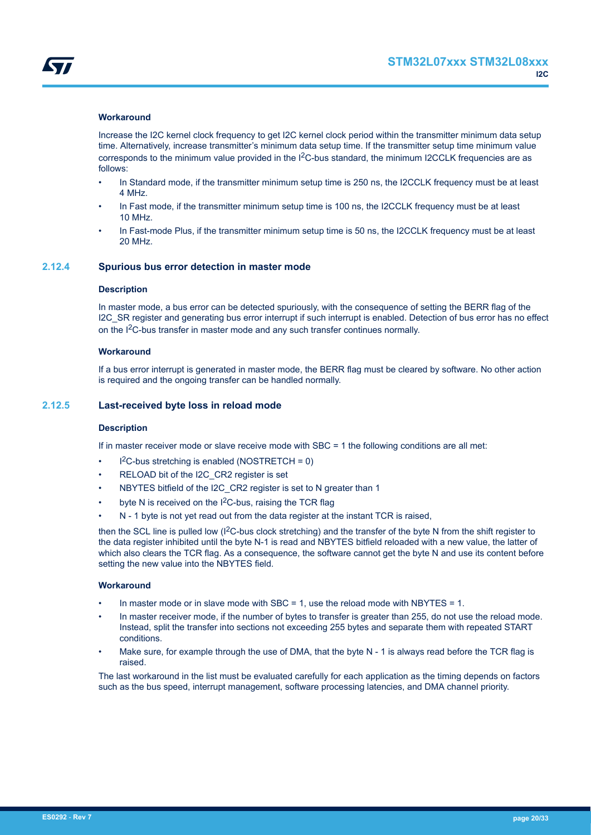<span id="page-19-0"></span>

## **Workaround**

Increase the I2C kernel clock frequency to get I2C kernel clock period within the transmitter minimum data setup time. Alternatively, increase transmitter's minimum data setup time. If the transmitter setup time minimum value corresponds to the minimum value provided in the I<sup>2</sup>C-bus standard, the minimum I2CCLK frequencies are as follows:

- In Standard mode, if the transmitter minimum setup time is 250 ns, the I2CCLK frequency must be at least 4 MHz.
- In Fast mode, if the transmitter minimum setup time is 100 ns, the I2CCLK frequency must be at least 10 MHz.
- In Fast-mode Plus, if the transmitter minimum setup time is 50 ns, the I2CCLK frequency must be at least 20 MHz.

## **2.12.4 Spurious bus error detection in master mode**

#### **Description**

In master mode, a bus error can be detected spuriously, with the consequence of setting the BERR flag of the I2C\_SR register and generating bus error interrupt if such interrupt is enabled. Detection of bus error has no effect on the I<sup>2</sup>C-bus transfer in master mode and any such transfer continues normally.

## **Workaround**

If a bus error interrupt is generated in master mode, the BERR flag must be cleared by software. No other action is required and the ongoing transfer can be handled normally.

## **2.12.5 Last-received byte loss in reload mode**

## **Description**

If in master receiver mode or slave receive mode with SBC = 1 the following conditions are all met:

- $l^2C$ -bus stretching is enabled (NOSTRETCH = 0)
- RELOAD bit of the I2C\_CR2 register is set
- NBYTES bitfield of the I2C\_CR2 register is set to N greater than 1
- byte N is received on the I<sup>2</sup>C-bus, raising the TCR flag
- N 1 byte is not yet read out from the data register at the instant TCR is raised,

then the SCL line is pulled low ( $1^2C$ -bus clock stretching) and the transfer of the byte N from the shift register to the data register inhibited until the byte N-1 is read and NBYTES bitfield reloaded with a new value, the latter of which also clears the TCR flag. As a consequence, the software cannot get the byte N and use its content before setting the new value into the NBYTES field.

## **Workaround**

- In master mode or in slave mode with SBC = 1, use the reload mode with NBYTES = 1.
- In master receiver mode, if the number of bytes to transfer is greater than 255, do not use the reload mode. Instead, split the transfer into sections not exceeding 255 bytes and separate them with repeated START conditions.
- Make sure, for example through the use of DMA, that the byte  $N 1$  is always read before the TCR flag is raised.

The last workaround in the list must be evaluated carefully for each application as the timing depends on factors such as the bus speed, interrupt management, software processing latencies, and DMA channel priority.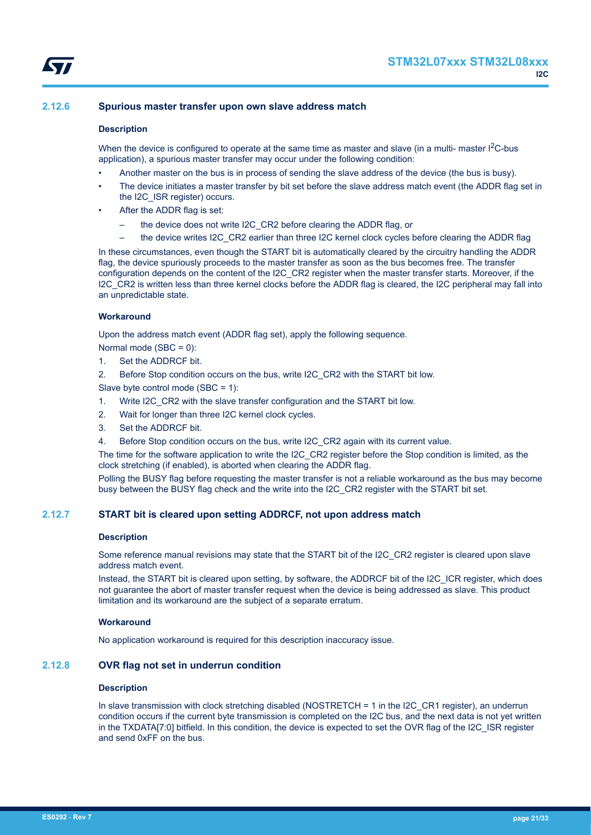## <span id="page-20-0"></span>**2.12.6 Spurious master transfer upon own slave address match**

## **Description**

When the device is configured to operate at the same time as master and slave (in a multi- master  ${}^{12}$ C-bus application), a spurious master transfer may occur under the following condition:

- Another master on the bus is in process of sending the slave address of the device (the bus is busy).
- The device initiates a master transfer by bit set before the slave address match event (the ADDR flag set in the I2C\_ISR register) occurs.
- After the ADDR flag is set:
	- the device does not write I2C\_CR2 before clearing the ADDR flag, or
	- the device writes I2C\_CR2 earlier than three I2C kernel clock cycles before clearing the ADDR flag

In these circumstances, even though the START bit is automatically cleared by the circuitry handling the ADDR flag, the device spuriously proceeds to the master transfer as soon as the bus becomes free. The transfer configuration depends on the content of the I2C\_CR2 register when the master transfer starts. Moreover, if the I2C CR2 is written less than three kernel clocks before the ADDR flag is cleared, the I2C peripheral may fall into an unpredictable state.

#### **Workaround**

Upon the address match event (ADDR flag set), apply the following sequence.

- Normal mode (SBC = 0):
- 1. Set the ADDRCF bit.
- 2. Before Stop condition occurs on the bus, write I2C\_CR2 with the START bit low.

Slave byte control mode (SBC = 1):

- 1. Write I2C\_CR2 with the slave transfer configuration and the START bit low.
- 2. Wait for longer than three I2C kernel clock cycles.
- 3. Set the ADDRCF bit.
- 4. Before Stop condition occurs on the bus, write I2C CR2 again with its current value.

The time for the software application to write the I2C\_CR2 register before the Stop condition is limited, as the clock stretching (if enabled), is aborted when clearing the ADDR flag.

Polling the BUSY flag before requesting the master transfer is not a reliable workaround as the bus may become busy between the BUSY flag check and the write into the I2C\_CR2 register with the START bit set.

## **2.12.7 START bit is cleared upon setting ADDRCF, not upon address match**

#### **Description**

Some reference manual revisions may state that the START bit of the I2C\_CR2 register is cleared upon slave address match event.

Instead, the START bit is cleared upon setting, by software, the ADDRCF bit of the I2C\_ICR register, which does not guarantee the abort of master transfer request when the device is being addressed as slave. This product limitation and its workaround are the subject of a separate erratum.

## **Workaround**

No application workaround is required for this description inaccuracy issue.

## **2.12.8 OVR flag not set in underrun condition**

## **Description**

In slave transmission with clock stretching disabled (NOSTRETCH = 1 in the I2C\_CR1 register), an underrun condition occurs if the current byte transmission is completed on the I2C bus, and the next data is not yet written in the TXDATA[7:0] bitfield. In this condition, the device is expected to set the OVR flag of the I2C\_ISR register and send 0xFF on the bus.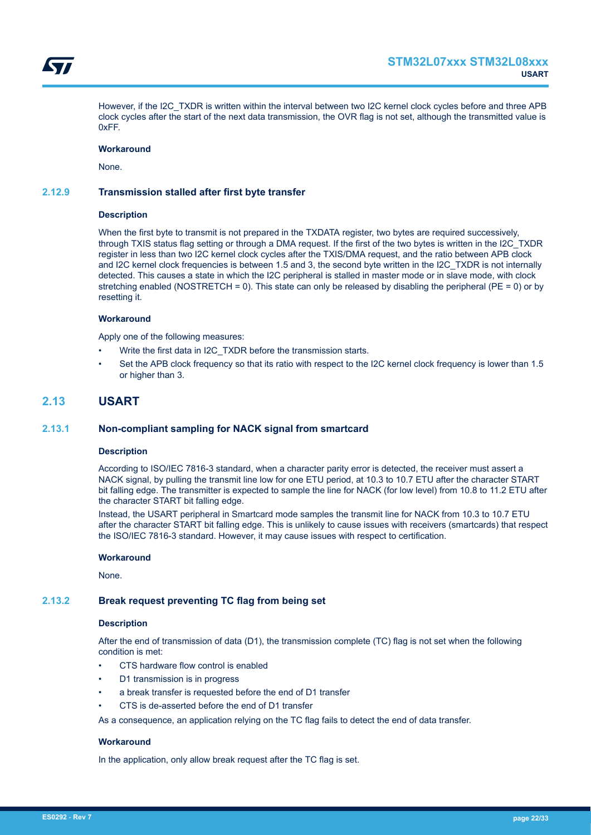<span id="page-21-0"></span>

However, if the I2C\_TXDR is written within the interval between two I2C kernel clock cycles before and three APB clock cycles after the start of the next data transmission, the OVR flag is not set, although the transmitted value is 0xFF.

## **Workaround**

None.

## **2.12.9 Transmission stalled after first byte transfer**

#### **Description**

When the first byte to transmit is not prepared in the TXDATA register, two bytes are required successively, through TXIS status flag setting or through a DMA request. If the first of the two bytes is written in the I2C\_TXDR register in less than two I2C kernel clock cycles after the TXIS/DMA request, and the ratio between APB clock and I2C kernel clock frequencies is between 1.5 and 3, the second byte written in the I2C\_TXDR is not internally detected. This causes a state in which the I2C peripheral is stalled in master mode or in slave mode, with clock stretching enabled (NOSTRETCH = 0). This state can only be released by disabling the peripheral ( $PE = 0$ ) or by resetting it.

#### **Workaround**

Apply one of the following measures:

- Write the first data in I2C\_TXDR before the transmission starts.
- Set the APB clock frequency so that its ratio with respect to the I2C kernel clock frequency is lower than 1.5 or higher than 3.

## **2.13 USART**

## **2.13.1 Non-compliant sampling for NACK signal from smartcard**

## **Description**

According to ISO/IEC 7816-3 standard, when a character parity error is detected, the receiver must assert a NACK signal, by pulling the transmit line low for one ETU period, at 10.3 to 10.7 ETU after the character START bit falling edge. The transmitter is expected to sample the line for NACK (for low level) from 10.8 to 11.2 ETU after the character START bit falling edge.

Instead, the USART peripheral in Smartcard mode samples the transmit line for NACK from 10.3 to 10.7 ETU after the character START bit falling edge. This is unlikely to cause issues with receivers (smartcards) that respect the ISO/IEC 7816-3 standard. However, it may cause issues with respect to certification.

#### **Workaround**

None.

## **2.13.2 Break request preventing TC flag from being set**

#### **Description**

After the end of transmission of data (D1), the transmission complete (TC) flag is not set when the following condition is met:

- CTS hardware flow control is enabled
- D1 transmission is in progress
- a break transfer is requested before the end of D1 transfer
- CTS is de-asserted before the end of D1 transfer

As a consequence, an application relying on the TC flag fails to detect the end of data transfer.

#### **Workaround**

In the application, only allow break request after the TC flag is set.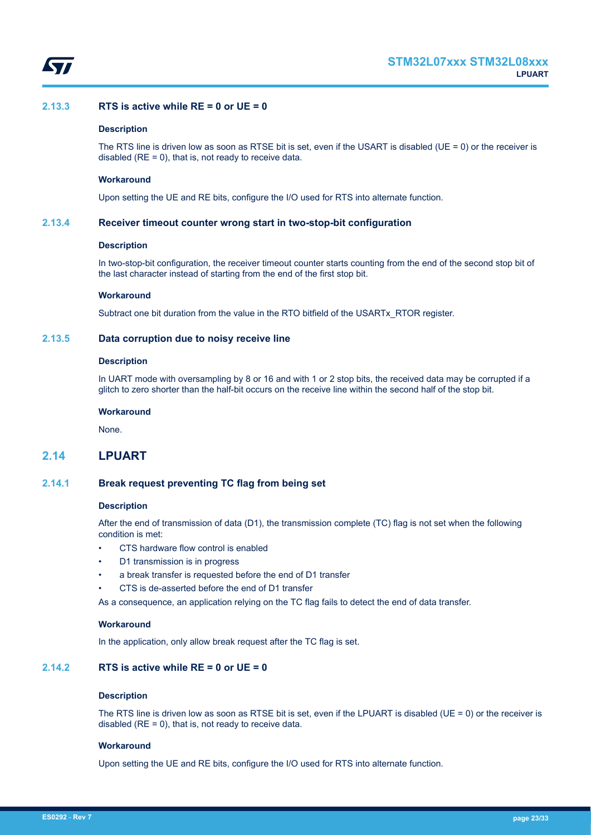<span id="page-22-0"></span>

## **2.13.3 RTS is active while RE = 0 or UE = 0**

## **Description**

The RTS line is driven low as soon as RTSE bit is set, even if the USART is disabled (UE = 0) or the receiver is disabled ( $RE = 0$ ), that is, not ready to receive data.

#### **Workaround**

Upon setting the UE and RE bits, configure the I/O used for RTS into alternate function.

## **2.13.4 Receiver timeout counter wrong start in two-stop-bit configuration**

## **Description**

In two-stop-bit configuration, the receiver timeout counter starts counting from the end of the second stop bit of the last character instead of starting from the end of the first stop bit.

#### **Workaround**

Subtract one bit duration from the value in the RTO bitfield of the USARTx\_RTOR register.

## **2.13.5 Data corruption due to noisy receive line**

#### **Description**

In UART mode with oversampling by 8 or 16 and with 1 or 2 stop bits, the received data may be corrupted if a glitch to zero shorter than the half-bit occurs on the receive line within the second half of the stop bit.

#### **Workaround**

None.

## **2.14 LPUART**

## **2.14.1 Break request preventing TC flag from being set**

#### **Description**

After the end of transmission of data (D1), the transmission complete (TC) flag is not set when the following condition is met:

- CTS hardware flow control is enabled
- D1 transmission is in progress
- a break transfer is requested before the end of D1 transfer
- CTS is de-asserted before the end of D1 transfer

As a consequence, an application relying on the TC flag fails to detect the end of data transfer.

## **Workaround**

In the application, only allow break request after the TC flag is set.

## **2.14.2 RTS is active while RE = 0 or UE = 0**

## **Description**

The RTS line is driven low as soon as RTSE bit is set, even if the LPUART is disabled (UE = 0) or the receiver is disabled ( $RE = 0$ ), that is, not ready to receive data.

## **Workaround**

Upon setting the UE and RE bits, configure the I/O used for RTS into alternate function.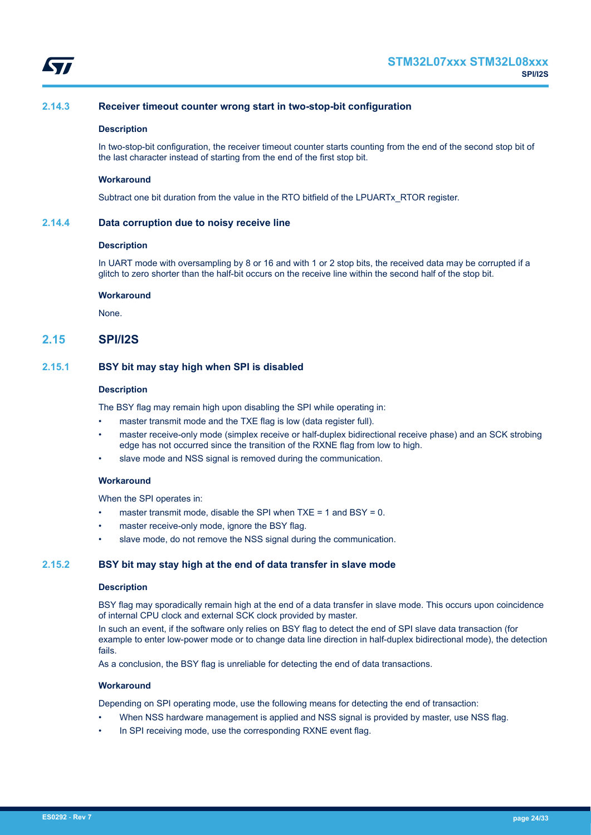<span id="page-23-0"></span>

## **2.14.3 Receiver timeout counter wrong start in two-stop-bit configuration**

#### **Description**

In two-stop-bit configuration, the receiver timeout counter starts counting from the end of the second stop bit of the last character instead of starting from the end of the first stop bit.

#### **Workaround**

Subtract one bit duration from the value in the RTO bitfield of the LPUARTx\_RTOR register.

## **2.14.4 Data corruption due to noisy receive line**

## **Description**

In UART mode with oversampling by 8 or 16 and with 1 or 2 stop bits, the received data may be corrupted if a glitch to zero shorter than the half-bit occurs on the receive line within the second half of the stop bit.

#### **Workaround**

None.

## **2.15 SPI/I2S**

## **2.15.1 BSY bit may stay high when SPI is disabled**

#### **Description**

The BSY flag may remain high upon disabling the SPI while operating in:

- master transmit mode and the TXE flag is low (data register full).
- master receive-only mode (simplex receive or half-duplex bidirectional receive phase) and an SCK strobing edge has not occurred since the transition of the RXNE flag from low to high.
- slave mode and NSS signal is removed during the communication.

#### **Workaround**

When the SPI operates in:

- master transmit mode, disable the SPI when  $TXE = 1$  and  $BSY = 0$ .
- master receive-only mode, ignore the BSY flag.
- slave mode, do not remove the NSS signal during the communication.

## **2.15.2 BSY bit may stay high at the end of data transfer in slave mode**

#### **Description**

BSY flag may sporadically remain high at the end of a data transfer in slave mode. This occurs upon coincidence of internal CPU clock and external SCK clock provided by master.

In such an event, if the software only relies on BSY flag to detect the end of SPI slave data transaction (for example to enter low-power mode or to change data line direction in half-duplex bidirectional mode), the detection fails.

As a conclusion, the BSY flag is unreliable for detecting the end of data transactions.

## **Workaround**

Depending on SPI operating mode, use the following means for detecting the end of transaction:

- When NSS hardware management is applied and NSS signal is provided by master, use NSS flag.
- In SPI receiving mode, use the corresponding RXNE event flag.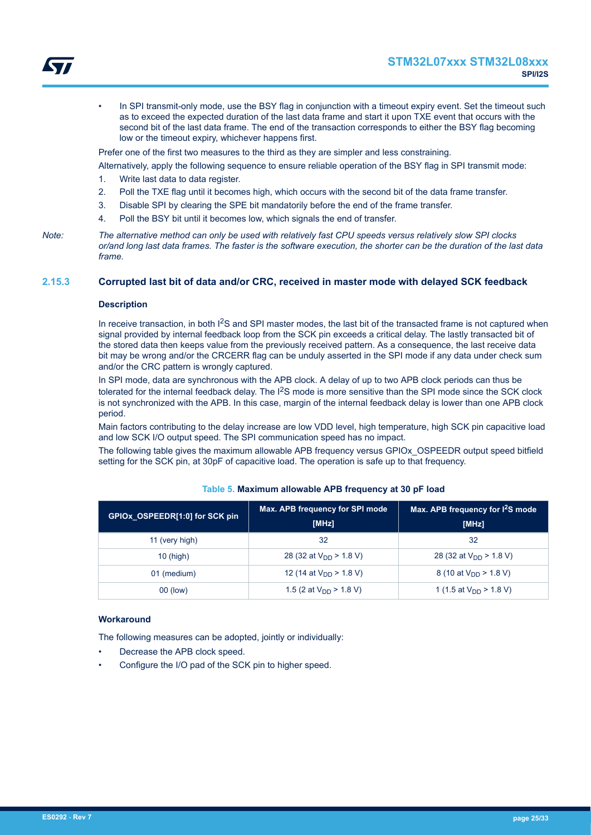

<span id="page-24-0"></span>In SPI transmit-only mode, use the BSY flag in conjunction with a timeout expiry event. Set the timeout such as to exceed the expected duration of the last data frame and start it upon TXE event that occurs with the second bit of the last data frame. The end of the transaction corresponds to either the BSY flag becoming low or the timeout expiry, whichever happens first.

Prefer one of the first two measures to the third as they are simpler and less constraining.

Alternatively, apply the following sequence to ensure reliable operation of the BSY flag in SPI transmit mode:

- 1. Write last data to data register.
- 2. Poll the TXE flag until it becomes high, which occurs with the second bit of the data frame transfer.
- 3. Disable SPI by clearing the SPE bit mandatorily before the end of the frame transfer.
- 4. Poll the BSY bit until it becomes low, which signals the end of transfer.

## **2.15.3 Corrupted last bit of data and/or CRC, received in master mode with delayed SCK feedback**

## **Description**

In receive transaction, in both I<sup>2</sup>S and SPI master modes, the last bit of the transacted frame is not captured when signal provided by internal feedback loop from the SCK pin exceeds a critical delay. The lastly transacted bit of the stored data then keeps value from the previously received pattern. As a consequence, the last receive data bit may be wrong and/or the CRCERR flag can be unduly asserted in the SPI mode if any data under check sum and/or the CRC pattern is wrongly captured.

In SPI mode, data are synchronous with the APB clock. A delay of up to two APB clock periods can thus be tolerated for the internal feedback delay. The I<sup>2</sup>S mode is more sensitive than the SPI mode since the SCK clock is not synchronized with the APB. In this case, margin of the internal feedback delay is lower than one APB clock period.

Main factors contributing to the delay increase are low VDD level, high temperature, high SCK pin capacitive load and low SCK I/O output speed. The SPI communication speed has no impact.

The following table gives the maximum allowable APB frequency versus GPIOx\_OSPEEDR output speed bitfield setting for the SCK pin, at 30pF of capacitive load. The operation is safe up to that frequency.

| GPIOx OSPEEDR[1:0] for SCK pin | Max. APB frequency for SPI mode<br>[MHz] | Max. APB frequency for $I^2S$ mode<br>[MHz] |
|--------------------------------|------------------------------------------|---------------------------------------------|
| 11 (very high)                 | 32                                       | 32                                          |
| $10$ (high)                    | 28 (32 at $V_{DD}$ > 1.8 V)              | 28 (32 at $V_{DD}$ > 1.8 V)                 |
| 01 (medium)                    | 12 (14 at $V_{DD}$ > 1.8 V)              | 8 (10 at $V_{DD}$ > 1.8 V)                  |
| 00 (low)                       | 1.5 (2 at $V_{DD}$ > 1.8 V)              | 1 (1.5 at $V_{DD}$ > 1.8 V)                 |

## **Table 5. Maximum allowable APB frequency at 30 pF load**

#### **Workaround**

The following measures can be adopted, jointly or individually:

- Decrease the APB clock speed.
- Configure the I/O pad of the SCK pin to higher speed.

*Note: The alternative method can only be used with relatively fast CPU speeds versus relatively slow SPI clocks or/and long last data frames. The faster is the software execution, the shorter can be the duration of the last data frame.*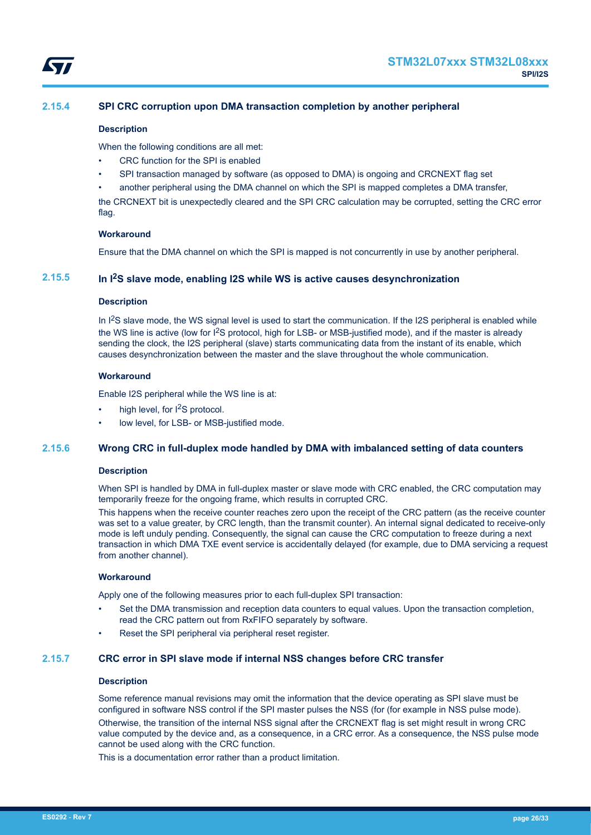<span id="page-25-0"></span>

## **2.15.4 SPI CRC corruption upon DMA transaction completion by another peripheral**

## **Description**

When the following conditions are all met:

- CRC function for the SPI is enabled
- SPI transaction managed by software (as opposed to DMA) is ongoing and CRCNEXT flag set

• another peripheral using the DMA channel on which the SPI is mapped completes a DMA transfer, the CRCNEXT bit is unexpectedly cleared and the SPI CRC calculation may be corrupted, setting the CRC error flag.

## **Workaround**

Ensure that the DMA channel on which the SPI is mapped is not concurrently in use by another peripheral.

## **2.15.5 In I2S slave mode, enabling I2S while WS is active causes desynchronization**

## **Description**

In I<sup>2</sup>S slave mode, the WS signal level is used to start the communication. If the I2S peripheral is enabled while the WS line is active (low for I<sup>2</sup>S protocol, high for LSB- or MSB-justified mode), and if the master is already sending the clock, the I2S peripheral (slave) starts communicating data from the instant of its enable, which causes desynchronization between the master and the slave throughout the whole communication.

## **Workaround**

Enable I2S peripheral while the WS line is at:

- high level, for I<sup>2</sup>S protocol.
- low level, for LSB- or MSB-justified mode.

## **2.15.6 Wrong CRC in full-duplex mode handled by DMA with imbalanced setting of data counters**

## **Description**

When SPI is handled by DMA in full-duplex master or slave mode with CRC enabled, the CRC computation may temporarily freeze for the ongoing frame, which results in corrupted CRC.

This happens when the receive counter reaches zero upon the receipt of the CRC pattern (as the receive counter was set to a value greater, by CRC length, than the transmit counter). An internal signal dedicated to receive-only mode is left unduly pending. Consequently, the signal can cause the CRC computation to freeze during a next transaction in which DMA TXE event service is accidentally delayed (for example, due to DMA servicing a request from another channel).

## **Workaround**

Apply one of the following measures prior to each full-duplex SPI transaction:

- Set the DMA transmission and reception data counters to equal values. Upon the transaction completion, read the CRC pattern out from RxFIFO separately by software.
- Reset the SPI peripheral via peripheral reset register.

## **2.15.7 CRC error in SPI slave mode if internal NSS changes before CRC transfer**

## **Description**

Some reference manual revisions may omit the information that the device operating as SPI slave must be configured in software NSS control if the SPI master pulses the NSS (for (for example in NSS pulse mode).

Otherwise, the transition of the internal NSS signal after the CRCNEXT flag is set might result in wrong CRC value computed by the device and, as a consequence, in a CRC error. As a consequence, the NSS pulse mode cannot be used along with the CRC function.

This is a documentation error rather than a product limitation.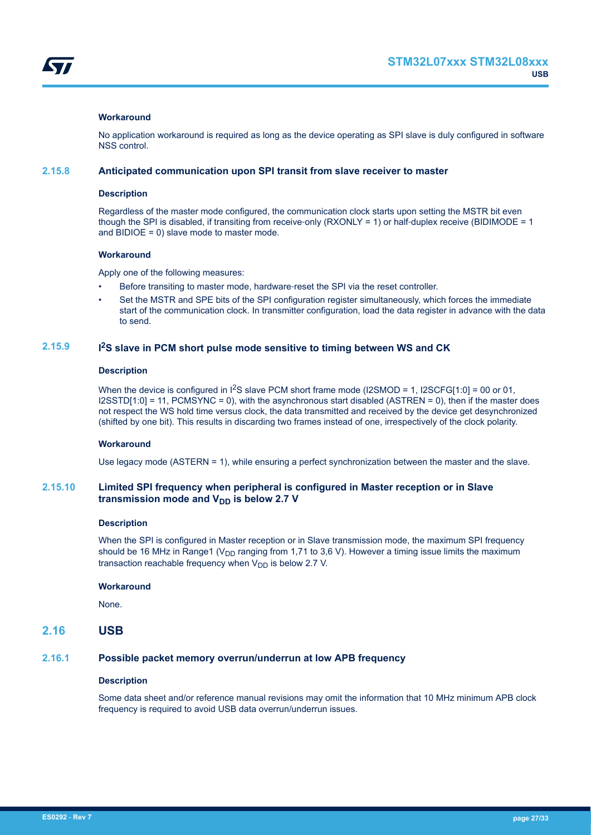<span id="page-26-0"></span>

## **Workaround**

No application workaround is required as long as the device operating as SPI slave is duly configured in software NSS control.

## **2.15.8 Anticipated communication upon SPI transit from slave receiver to master**

#### **Description**

Regardless of the master mode configured, the communication clock starts upon setting the MSTR bit even though the SPI is disabled, if transiting from receive-only (RXONLY = 1) or half-duplex receive (BIDIMODE = 1) and BIDIOE = 0) slave mode to master mode.

## **Workaround**

Apply one of the following measures:

- Before transiting to master mode, hardware-reset the SPI via the reset controller.
- Set the MSTR and SPE bits of the SPI configuration register simultaneously, which forces the immediate start of the communication clock. In transmitter configuration, load the data register in advance with the data to send.

#### **2.15.9 I <sup>2</sup>S slave in PCM short pulse mode sensitive to timing between WS and CK**

## **Description**

When the device is configured in  $^{12}S$  slave PCM short frame mode (I2SMOD = 1, I2SCFG[1:0] = 00 or 01,  $|2$ SSTD[1:0] = 11, PCMSYNC = 0), with the asynchronous start disabled (ASTREN = 0), then if the master does not respect the WS hold time versus clock, the data transmitted and received by the device get desynchronized (shifted by one bit). This results in discarding two frames instead of one, irrespectively of the clock polarity.

## **Workaround**

Use legacy mode (ASTERN = 1), while ensuring a perfect synchronization between the master and the slave.

## **2.15.10 Limited SPI frequency when peripheral is configured in Master reception or in Slave** transmission mode and V<sub>DD</sub> is below 2.7 V

#### **Description**

When the SPI is configured in Master reception or in Slave transmission mode, the maximum SPI frequency should be 16 MHz in Range1 ( $V_{DD}$  ranging from 1,71 to 3,6 V). However a timing issue limits the maximum transaction reachable frequency when  $V_{DD}$  is below 2.7 V.

## **Workaround**

None.

## **2.16 USB**

## **2.16.1 Possible packet memory overrun/underrun at low APB frequency**

## **Description**

Some data sheet and/or reference manual revisions may omit the information that 10 MHz minimum APB clock frequency is required to avoid USB data overrun/underrun issues.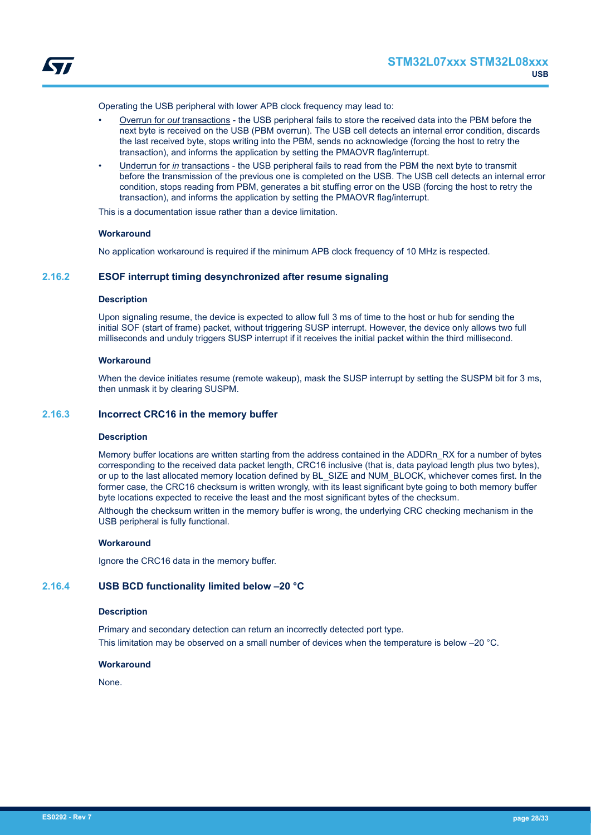<span id="page-27-0"></span>

Operating the USB peripheral with lower APB clock frequency may lead to:

- Overrun for *out* transactions the USB peripheral fails to store the received data into the PBM before the next byte is received on the USB (PBM overrun). The USB cell detects an internal error condition, discards the last received byte, stops writing into the PBM, sends no acknowledge (forcing the host to retry the transaction), and informs the application by setting the PMAOVR flag/interrupt.
- Underrun for *in* transactions the USB peripheral fails to read from the PBM the next byte to transmit before the transmission of the previous one is completed on the USB. The USB cell detects an internal error condition, stops reading from PBM, generates a bit stuffing error on the USB (forcing the host to retry the transaction), and informs the application by setting the PMAOVR flag/interrupt.

This is a documentation issue rather than a device limitation.

## **Workaround**

No application workaround is required if the minimum APB clock frequency of 10 MHz is respected.

## **2.16.2 ESOF interrupt timing desynchronized after resume signaling**

## **Description**

Upon signaling resume, the device is expected to allow full 3 ms of time to the host or hub for sending the initial SOF (start of frame) packet, without triggering SUSP interrupt. However, the device only allows two full milliseconds and unduly triggers SUSP interrupt if it receives the initial packet within the third millisecond.

## **Workaround**

When the device initiates resume (remote wakeup), mask the SUSP interrupt by setting the SUSPM bit for 3 ms, then unmask it by clearing SUSPM.

#### **2.16.3 Incorrect CRC16 in the memory buffer**

#### **Description**

Memory buffer locations are written starting from the address contained in the ADDRn\_RX for a number of bytes corresponding to the received data packet length, CRC16 inclusive (that is, data payload length plus two bytes), or up to the last allocated memory location defined by BL\_SIZE and NUM\_BLOCK, whichever comes first. In the former case, the CRC16 checksum is written wrongly, with its least significant byte going to both memory buffer byte locations expected to receive the least and the most significant bytes of the checksum.

Although the checksum written in the memory buffer is wrong, the underlying CRC checking mechanism in the USB peripheral is fully functional.

## **Workaround**

Ignore the CRC16 data in the memory buffer.

## **2.16.4 USB BCD functionality limited below –20 °C**

#### **Description**

Primary and secondary detection can return an incorrectly detected port type. This limitation may be observed on a small number of devices when the temperature is below –20 °C.

## **Workaround**

None.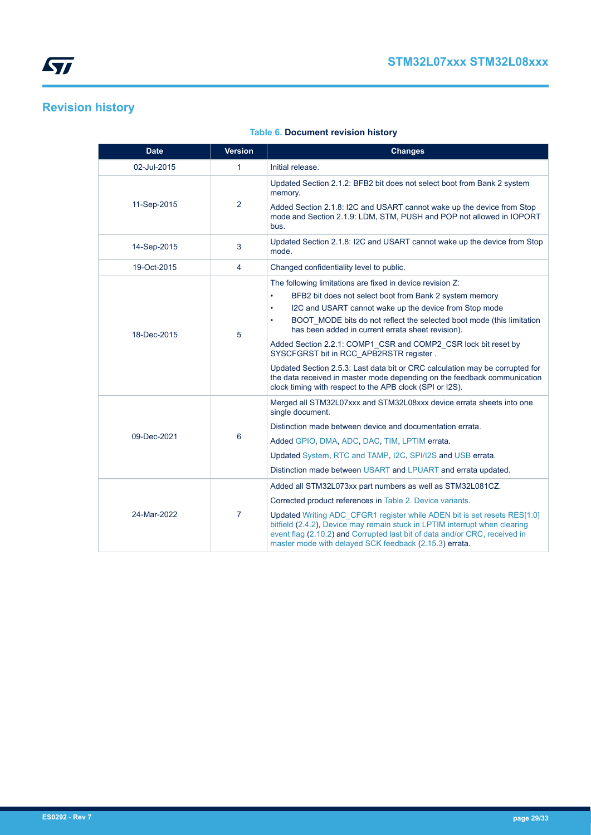# <span id="page-28-0"></span>**Revision history**

| <b>Date</b> | <b>Version</b> | <b>Changes</b>                                                                                                                                                                                                                                                                                 |
|-------------|----------------|------------------------------------------------------------------------------------------------------------------------------------------------------------------------------------------------------------------------------------------------------------------------------------------------|
| 02-Jul-2015 | $\mathbf{1}$   | Initial release.                                                                                                                                                                                                                                                                               |
|             | $\overline{2}$ | Updated Section 2.1.2: BFB2 bit does not select boot from Bank 2 system<br>memory.                                                                                                                                                                                                             |
| 11-Sep-2015 |                | Added Section 2.1.8: I2C and USART cannot wake up the device from Stop<br>mode and Section 2.1.9: LDM, STM, PUSH and POP not allowed in IOPORT<br>bus.                                                                                                                                         |
| 14-Sep-2015 | 3              | Updated Section 2.1.8: I2C and USART cannot wake up the device from Stop<br>mode.                                                                                                                                                                                                              |
| 19-Oct-2015 | $\overline{4}$ | Changed confidentiality level to public.                                                                                                                                                                                                                                                       |
|             |                | The following limitations are fixed in device revision Z:                                                                                                                                                                                                                                      |
|             |                | BFB2 bit does not select boot from Bank 2 system memory<br>$\bullet$                                                                                                                                                                                                                           |
|             |                | I2C and USART cannot wake up the device from Stop mode<br>$\bullet$                                                                                                                                                                                                                            |
| 18-Dec-2015 | 5              | BOOT_MODE bits do not reflect the selected boot mode (this limitation<br>has been added in current errata sheet revision).                                                                                                                                                                     |
|             |                | Added Section 2.2.1: COMP1 CSR and COMP2 CSR lock bit reset by<br>SYSCFGRST bit in RCC APB2RSTR register.                                                                                                                                                                                      |
|             |                | Updated Section 2.5.3: Last data bit or CRC calculation may be corrupted for<br>the data received in master mode depending on the feedback communication<br>clock timing with respect to the APB clock (SPI or I2S).                                                                           |
|             |                | Merged all STM32L07xxx and STM32L08xxx device errata sheets into one<br>single document.                                                                                                                                                                                                       |
|             |                | Distinction made between device and documentation errata.                                                                                                                                                                                                                                      |
| 09-Dec-2021 | 6              | Added GPIO, DMA, ADC, DAC, TIM, LPTIM errata.                                                                                                                                                                                                                                                  |
|             |                | Updated System, RTC and TAMP, I2C, SPI/I2S and USB errata.                                                                                                                                                                                                                                     |
|             |                | Distinction made between USART and LPUART and errata updated.                                                                                                                                                                                                                                  |
|             |                | Added all STM32L073xx part numbers as well as STM32L081CZ.                                                                                                                                                                                                                                     |
|             |                | Corrected product references in Table 2. Device variants.                                                                                                                                                                                                                                      |
| 24-Mar-2022 | $\overline{7}$ | Updated Writing ADC CFGR1 register while ADEN bit is set resets RES[1:0]<br>bitfield (2.4.2), Device may remain stuck in LPTIM interrupt when clearing<br>event flag (2.10.2) and Corrupted last bit of data and/or CRC, received in<br>master mode with delayed SCK feedback (2.15.3) errata. |

## **Table 6. Document revision history**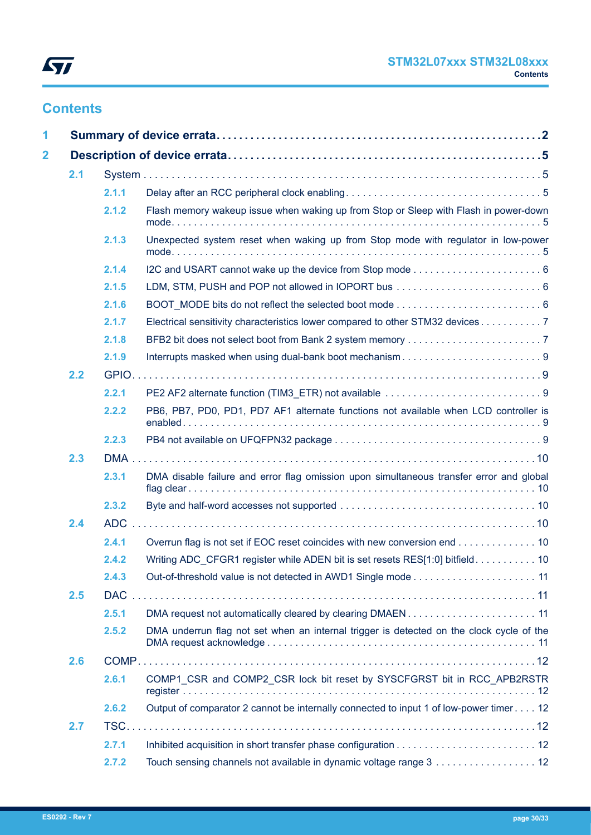

# **Contents**

| 1                       |     |            |                                                                                          |  |
|-------------------------|-----|------------|------------------------------------------------------------------------------------------|--|
| $\overline{\mathbf{2}}$ |     |            |                                                                                          |  |
|                         | 2.1 |            |                                                                                          |  |
|                         |     | 2.1.1      |                                                                                          |  |
|                         |     | 2.1.2      | Flash memory wakeup issue when waking up from Stop or Sleep with Flash in power-down     |  |
|                         |     | 2.1.3      | Unexpected system reset when waking up from Stop mode with regulator in low-power        |  |
|                         |     | 2.1.4      |                                                                                          |  |
|                         |     | 2.1.5      |                                                                                          |  |
|                         |     | 2.1.6      |                                                                                          |  |
|                         |     | 2.1.7      | Electrical sensitivity characteristics lower compared to other STM32 devices 7           |  |
|                         |     | 2.1.8      |                                                                                          |  |
|                         |     | 2.1.9      |                                                                                          |  |
|                         | 2.2 |            |                                                                                          |  |
|                         |     | 2.2.1      |                                                                                          |  |
|                         |     | 2.2.2      | PB6, PB7, PD0, PD1, PD7 AF1 alternate functions not available when LCD controller is     |  |
|                         |     | 2.2.3      |                                                                                          |  |
|                         | 2.3 |            |                                                                                          |  |
|                         |     | 2.3.1      | DMA disable failure and error flag omission upon simultaneous transfer error and global  |  |
|                         |     | 2.3.2      |                                                                                          |  |
|                         | 2.4 |            |                                                                                          |  |
|                         |     | 2.4.1      | Overrun flag is not set if EOC reset coincides with new conversion end 10                |  |
|                         |     | 2.4.2      | Writing ADC_CFGR1 register while ADEN bit is set resets RES[1:0] bitfield. 10            |  |
|                         |     | 2.4.3      |                                                                                          |  |
|                         | 2.5 | <b>DAC</b> |                                                                                          |  |
|                         |     | 2.5.1      | DMA request not automatically cleared by clearing DMAEN11                                |  |
|                         |     | 2.5.2      | DMA underrun flag not set when an internal trigger is detected on the clock cycle of the |  |
|                         | 2.6 |            |                                                                                          |  |
|                         |     | 2.6.1      | COMP1 CSR and COMP2 CSR lock bit reset by SYSCFGRST bit in RCC APB2RSTR                  |  |
|                         |     | 2.6.2      | Output of comparator 2 cannot be internally connected to input 1 of low-power timer 12   |  |
|                         | 2.7 |            |                                                                                          |  |
|                         |     | 2.7.1      |                                                                                          |  |
|                         |     | 2.7.2      | Touch sensing channels not available in dynamic voltage range 3 12                       |  |
|                         |     |            |                                                                                          |  |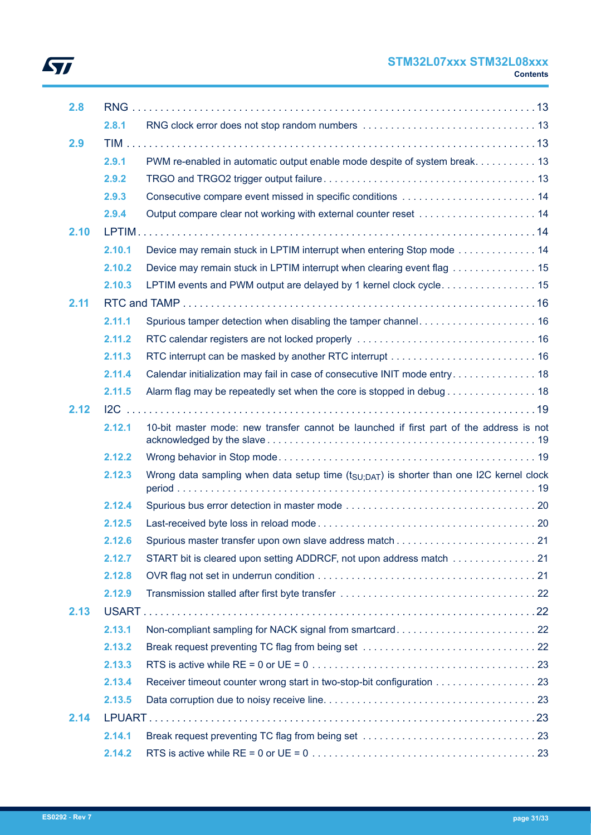## **STM32L07xxx STM32L08xxx Contents**

| 2.8  |        |                                                                                                      |  |
|------|--------|------------------------------------------------------------------------------------------------------|--|
|      | 2.8.1  |                                                                                                      |  |
| 2.9  |        |                                                                                                      |  |
|      | 2.9.1  | PWM re-enabled in automatic output enable mode despite of system break. 13                           |  |
|      | 2.9.2  |                                                                                                      |  |
|      | 2.9.3  |                                                                                                      |  |
|      | 2.9.4  |                                                                                                      |  |
| 2.10 |        |                                                                                                      |  |
|      | 2.10.1 | Device may remain stuck in LPTIM interrupt when entering Stop mode 14                                |  |
|      | 2.10.2 | Device may remain stuck in LPTIM interrupt when clearing event flag 15                               |  |
|      | 2.10.3 | LPTIM events and PWM output are delayed by 1 kernel clock cycle 15                                   |  |
| 2.11 |        |                                                                                                      |  |
|      | 2.11.1 |                                                                                                      |  |
|      | 2.11.2 |                                                                                                      |  |
|      | 2.11.3 |                                                                                                      |  |
|      | 2.11.4 | Calendar initialization may fail in case of consecutive INIT mode entry 18                           |  |
|      | 2.11.5 | Alarm flag may be repeatedly set when the core is stopped in debug 18                                |  |
| 2.12 |        |                                                                                                      |  |
|      | 2.12.1 | 10-bit master mode: new transfer cannot be launched if first part of the address is not              |  |
|      | 2.12.2 |                                                                                                      |  |
|      | 2.12.3 | Wrong data sampling when data setup time (t <sub>SU:DAT</sub> ) is shorter than one I2C kernel clock |  |
|      | 2.12.4 |                                                                                                      |  |
|      | 2.12.5 |                                                                                                      |  |
|      | 2.12.6 |                                                                                                      |  |
|      | 2.12.7 | START bit is cleared upon setting ADDRCF, not upon address match 21                                  |  |
|      | 2.12.8 |                                                                                                      |  |
|      | 2.12.9 |                                                                                                      |  |
| 2.13 |        |                                                                                                      |  |
|      | 2.13.1 |                                                                                                      |  |
|      | 2.13.2 |                                                                                                      |  |
|      | 2.13.3 |                                                                                                      |  |
|      | 2.13.4 | Receiver timeout counter wrong start in two-stop-bit configuration 23                                |  |
|      | 2.13.5 |                                                                                                      |  |
| 2.14 |        |                                                                                                      |  |
|      | 2.14.1 |                                                                                                      |  |
|      | 2.14.2 |                                                                                                      |  |

 $\sqrt{2}$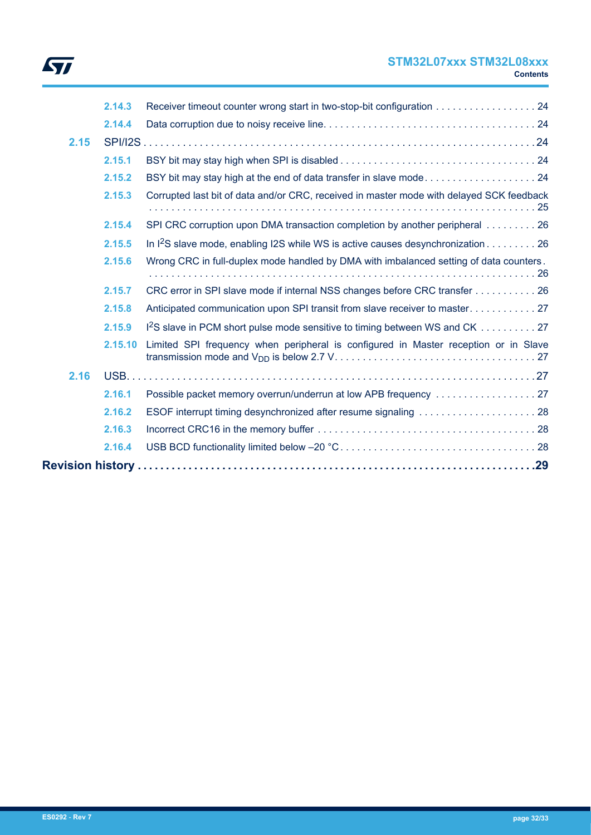

## **STM32L07xxx STM32L08xxx Contents**

|      | 2.14.3  | Receiver timeout counter wrong start in two-stop-bit configuration 24                    |
|------|---------|------------------------------------------------------------------------------------------|
|      | 2.14.4  |                                                                                          |
| 2.15 |         |                                                                                          |
|      | 2.15.1  |                                                                                          |
|      | 2.15.2  |                                                                                          |
|      | 2.15.3  | Corrupted last bit of data and/or CRC, received in master mode with delayed SCK feedback |
|      | 2.15.4  | SPI CRC corruption upon DMA transaction completion by another peripheral 26              |
|      | 2.15.5  | In $^{12}$ S slave mode, enabling I2S while WS is active causes desynchronization 26     |
|      | 2.15.6  | Wrong CRC in full-duplex mode handled by DMA with imbalanced setting of data counters.   |
|      | 2.15.7  | CRC error in SPI slave mode if internal NSS changes before CRC transfer 26               |
|      | 2.15.8  |                                                                                          |
|      | 2.15.9  | 1 <sup>2</sup> S slave in PCM short pulse mode sensitive to timing between WS and CK 27  |
|      | 2.15.10 | Limited SPI frequency when peripheral is configured in Master reception or in Slave      |
| 2.16 |         |                                                                                          |
|      | 2.16.1  |                                                                                          |
|      | 2.16.2  |                                                                                          |
|      | 2.16.3  |                                                                                          |
|      | 2.16.4  |                                                                                          |
|      |         |                                                                                          |
|      |         |                                                                                          |